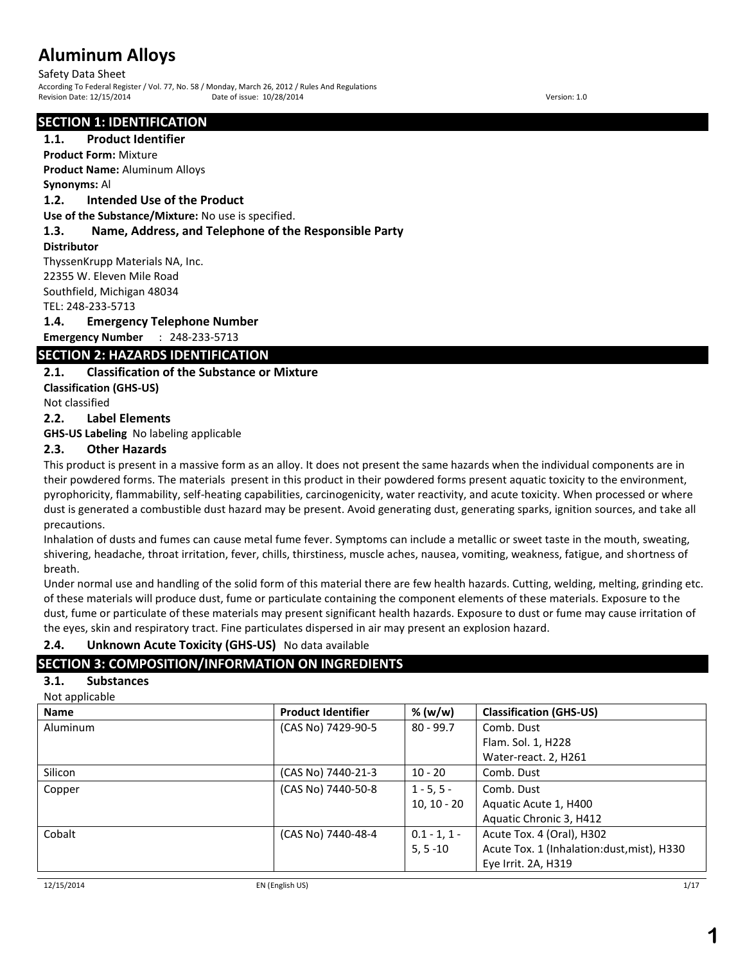Safety Data Sheet According To Federal Register / Vol. 77, No. 58 / Monday, March 26, 2012 / Rules And Regulations Revision Date: 12/15/2014 Date of issue: 10/28/2014 Version: 1.0

## **SECTION 1: IDENTIFICATION**

## **1.1. Product Identifier**

**Product Form:** Mixture **Product Name:** Aluminum Alloys

**Synonyms:** Al

### **1.2. Intended Use of the Product**

**Use of the Substance/Mixture:** No use is specified.

## **1.3. Name, Address, and Telephone of the Responsible Party**

#### **Distributor**

ThyssenKrupp Materials NA, Inc. 22355 W. Eleven Mile Road Southfield, Michigan 48034 TEL: 248-233-5713

### **1.4. Emergency Telephone Number**

**Emergency Number** : 248-233-5713

## **SECTION 2: HAZARDS IDENTIFICATION**

## **2.1. Classification of the Substance or Mixture**

**Classification (GHS-US)**

Not classified

## **2.2. Label Elements**

**GHS-US Labeling** No labeling applicable

## **2.3. Other Hazards**

This product is present in a massive form as an alloy. It does not present the same hazards when the individual components are in their powdered forms. The materials present in this product in their powdered forms present aquatic toxicity to the environment, pyrophoricity, flammability, self-heating capabilities, carcinogenicity, water reactivity, and acute toxicity. When processed or where dust is generated a combustible dust hazard may be present. Avoid generating dust, generating sparks, ignition sources, and take all precautions.

Inhalation of dusts and fumes can cause metal fume fever. Symptoms can include a metallic or sweet taste in the mouth, sweating, shivering, headache, throat irritation, fever, chills, thirstiness, muscle aches, nausea, vomiting, weakness, fatigue, and shortness of breath.

Under normal use and handling of the solid form of this material there are few health hazards. Cutting, welding, melting, grinding etc. of these materials will produce dust, fume or particulate containing the component elements of these materials. Exposure to the dust, fume or particulate of these materials may present significant health hazards. Exposure to dust or fume may cause irritation of the eyes, skin and respiratory tract. Fine particulates dispersed in air may present an explosion hazard.

## **2.4. Unknown Acute Toxicity (GHS-US)** No data available

## **SECTION 3: COMPOSITION/INFORMATION ON INGREDIENTS**

## **3.1. Substances**

| Not applicable |  |  |
|----------------|--|--|

| <b>Name</b> | <b>Product Identifier</b> | % (w/w)        | <b>Classification (GHS-US)</b>             |
|-------------|---------------------------|----------------|--------------------------------------------|
| Aluminum    | (CAS No) 7429-90-5        | 80 - 99.7      | Comb. Dust                                 |
|             |                           |                | Flam. Sol. 1, H228                         |
|             |                           |                | Water-react. 2, H261                       |
| Silicon     | (CAS No) 7440-21-3        | $10 - 20$      | Comb. Dust                                 |
| Copper      | (CAS No) 7440-50-8        | $1 - 5, 5 -$   | Comb. Dust                                 |
|             |                           | $10, 10 - 20$  | Aquatic Acute 1, H400                      |
|             |                           |                | Aquatic Chronic 3, H412                    |
| Cobalt      | (CAS No) 7440-48-4        | $0.1 - 1, 1 -$ | Acute Tox. 4 (Oral), H302                  |
|             |                           | $5, 5 - 10$    | Acute Tox. 1 (Inhalation:dust, mist), H330 |
|             |                           |                | Eye Irrit. 2A, H319                        |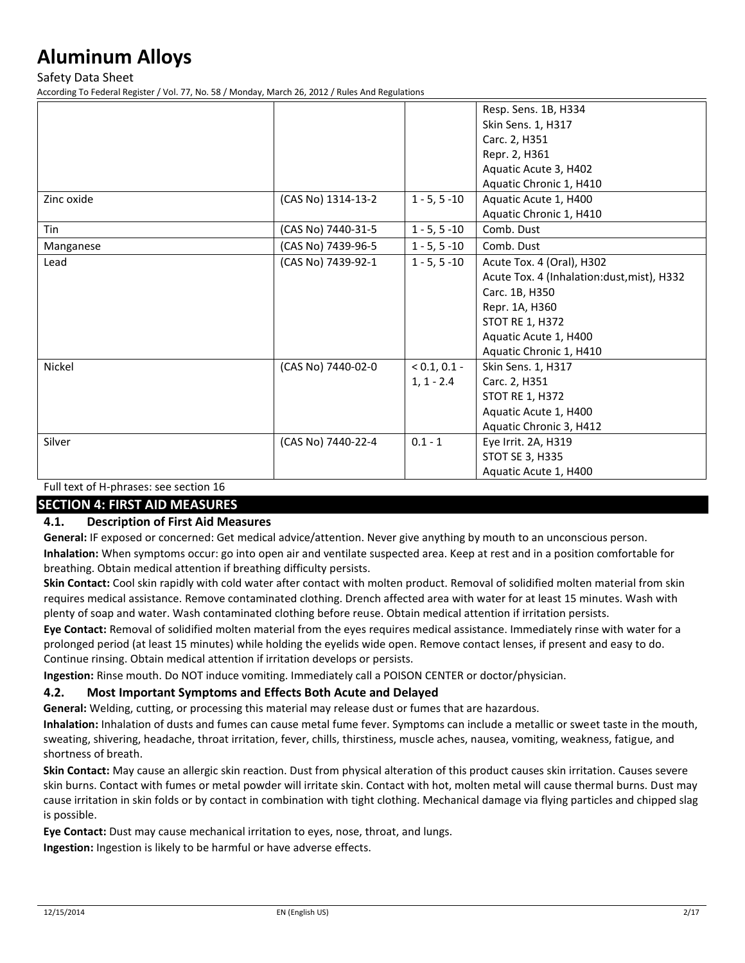Safety Data Sheet

According To Federal Register / Vol. 77, No. 58 / Monday, March 26, 2012 / Rules And Regulations

|                                            |                    |                 | Resp. Sens. 1B, H334                       |
|--------------------------------------------|--------------------|-----------------|--------------------------------------------|
|                                            |                    |                 | Skin Sens. 1, H317                         |
|                                            |                    |                 | Carc. 2, H351                              |
|                                            |                    |                 | Repr. 2, H361                              |
|                                            |                    |                 | Aquatic Acute 3, H402                      |
|                                            |                    |                 | Aquatic Chronic 1, H410                    |
| Zinc oxide                                 | (CAS No) 1314-13-2 | $1 - 5, 5 - 10$ | Aquatic Acute 1, H400                      |
|                                            |                    |                 | Aquatic Chronic 1, H410                    |
| Tin                                        | (CAS No) 7440-31-5 | $1 - 5, 5 - 10$ | Comb. Dust                                 |
| Manganese                                  | (CAS No) 7439-96-5 | $1 - 5, 5 - 10$ | Comb. Dust                                 |
| Lead                                       | (CAS No) 7439-92-1 | $1 - 5, 5 - 10$ | Acute Tox. 4 (Oral), H302                  |
|                                            |                    |                 | Acute Tox. 4 (Inhalation:dust, mist), H332 |
|                                            |                    |                 | Carc. 1B, H350                             |
|                                            |                    |                 | Repr. 1A, H360                             |
|                                            |                    |                 | <b>STOT RE 1, H372</b>                     |
|                                            |                    |                 | Aquatic Acute 1, H400                      |
|                                            |                    |                 | Aquatic Chronic 1, H410                    |
| Nickel                                     | (CAS No) 7440-02-0 | $< 0.1, 0.1 -$  | Skin Sens. 1, H317                         |
|                                            |                    | $1, 1 - 2.4$    | Carc. 2, H351                              |
|                                            |                    |                 | <b>STOT RE 1, H372</b>                     |
|                                            |                    |                 | Aquatic Acute 1, H400                      |
|                                            |                    |                 | Aquatic Chronic 3, H412                    |
| Silver                                     | (CAS No) 7440-22-4 | $0.1 - 1$       | Eye Irrit. 2A, H319                        |
|                                            |                    |                 | STOT SE 3, H335                            |
|                                            |                    |                 | Aquatic Acute 1, H400                      |
| $Eul$ to the $H$ phrases: see section $16$ |                    |                 |                                            |

Full text of H-phrases: see section 16

## **SECTION 4: FIRST AID MEASURES**

## **4.1. Description of First Aid Measures**

**General:** IF exposed or concerned: Get medical advice/attention. Never give anything by mouth to an unconscious person. **Inhalation:** When symptoms occur: go into open air and ventilate suspected area. Keep at rest and in a position comfortable for breathing. Obtain medical attention if breathing difficulty persists.

**Skin Contact:** Cool skin rapidly with cold water after contact with molten product. Removal of solidified molten material from skin requires medical assistance. Remove contaminated clothing. Drench affected area with water for at least 15 minutes. Wash with plenty of soap and water. Wash contaminated clothing before reuse. Obtain medical attention if irritation persists.

**Eye Contact:** Removal of solidified molten material from the eyes requires medical assistance. Immediately rinse with water for a prolonged period (at least 15 minutes) while holding the eyelids wide open. Remove contact lenses, if present and easy to do. Continue rinsing. Obtain medical attention if irritation develops or persists.

**Ingestion:** Rinse mouth. Do NOT induce vomiting. Immediately call a POISON CENTER or doctor/physician.

### **4.2. Most Important Symptoms and Effects Both Acute and Delayed**

**General:** Welding, cutting, or processing this material may release dust or fumes that are hazardous.

**Inhalation:** Inhalation of dusts and fumes can cause metal fume fever. Symptoms can include a metallic or sweet taste in the mouth, sweating, shivering, headache, throat irritation, fever, chills, thirstiness, muscle aches, nausea, vomiting, weakness, fatigue, and shortness of breath.

**Skin Contact:** May cause an allergic skin reaction. Dust from physical alteration of this product causes skin irritation. Causes severe skin burns. Contact with fumes or metal powder will irritate skin. Contact with hot, molten metal will cause thermal burns. Dust may cause irritation in skin folds or by contact in combination with tight clothing. Mechanical damage via flying particles and chipped slag is possible.

**Eye Contact:** Dust may cause mechanical irritation to eyes, nose, throat, and lungs.

**Ingestion:** Ingestion is likely to be harmful or have adverse effects.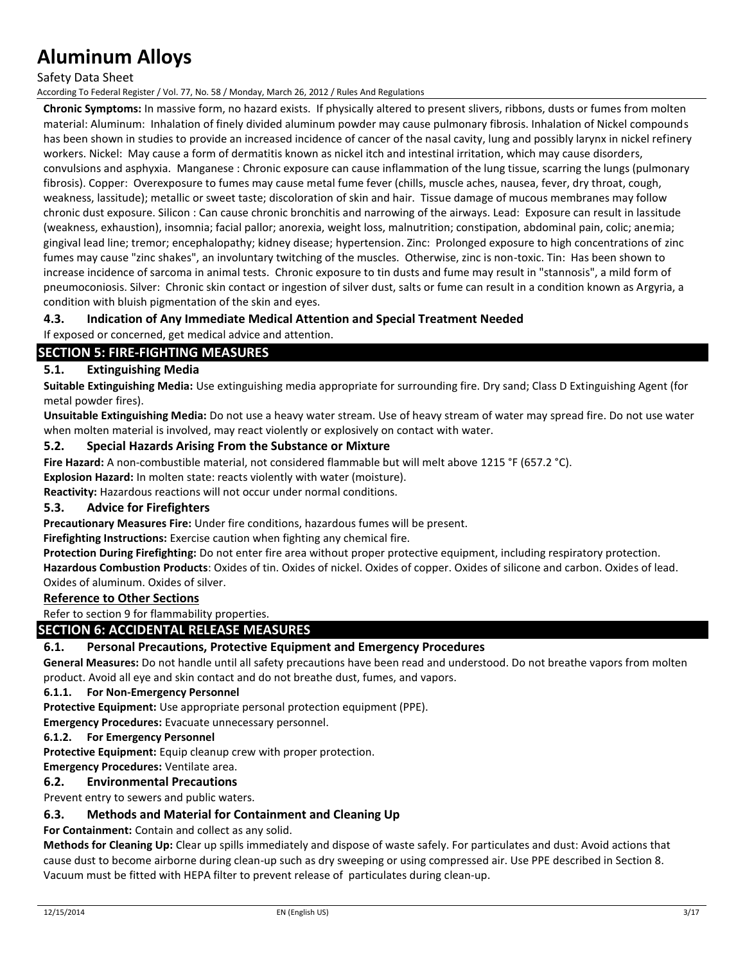Safety Data Sheet

According To Federal Register / Vol. 77, No. 58 / Monday, March 26, 2012 / Rules And Regulations

**Chronic Symptoms:** In massive form, no hazard exists. If physically altered to present slivers, ribbons, dusts or fumes from molten material: Aluminum: Inhalation of finely divided aluminum powder may cause pulmonary fibrosis. Inhalation of Nickel compounds has been shown in studies to provide an increased incidence of cancer of the nasal cavity, lung and possibly larynx in nickel refinery workers. Nickel: May cause a form of dermatitis known as nickel itch and intestinal irritation, which may cause disorders, convulsions and asphyxia. Manganese : Chronic exposure can cause inflammation of the lung tissue, scarring the lungs (pulmonary fibrosis). Copper: Overexposure to fumes may cause metal fume fever (chills, muscle aches, nausea, fever, dry throat, cough, weakness, lassitude); metallic or sweet taste; discoloration of skin and hair. Tissue damage of mucous membranes may follow chronic dust exposure. Silicon : Can cause chronic bronchitis and narrowing of the airways. Lead: Exposure can result in lassitude (weakness, exhaustion), insomnia; facial pallor; anorexia, weight loss, malnutrition; constipation, abdominal pain, colic; anemia; gingival lead line; tremor; encephalopathy; kidney disease; hypertension. Zinc: Prolonged exposure to high concentrations of zinc fumes may cause "zinc shakes", an involuntary twitching of the muscles. Otherwise, zinc is non-toxic. Tin: Has been shown to increase incidence of sarcoma in animal tests. Chronic exposure to tin dusts and fume may result in "stannosis", a mild form of pneumoconiosis. Silver: Chronic skin contact or ingestion of silver dust, salts or fume can result in a condition known as Argyria, a condition with bluish pigmentation of the skin and eyes.

## **4.3. Indication of Any Immediate Medical Attention and Special Treatment Needed**

If exposed or concerned, get medical advice and attention.

## **SECTION 5: FIRE-FIGHTING MEASURES**

### **5.1. Extinguishing Media**

**Suitable Extinguishing Media:** Use extinguishing media appropriate for surrounding fire. Dry sand; Class D Extinguishing Agent (for metal powder fires).

**Unsuitable Extinguishing Media:** Do not use a heavy water stream. Use of heavy stream of water may spread fire. Do not use water when molten material is involved, may react violently or explosively on contact with water.

### **5.2. Special Hazards Arising From the Substance or Mixture**

**Fire Hazard:** A non-combustible material, not considered flammable but will melt above 1215 °F (657.2 °C).

**Explosion Hazard:** In molten state: reacts violently with water (moisture).

**Reactivity:** Hazardous reactions will not occur under normal conditions.

## **5.3. Advice for Firefighters**

**Precautionary Measures Fire:** Under fire conditions, hazardous fumes will be present.

**Firefighting Instructions:** Exercise caution when fighting any chemical fire.

**Protection During Firefighting:** Do not enter fire area without proper protective equipment, including respiratory protection.

**Hazardous Combustion Products**: Oxides of tin. Oxides of nickel. Oxides of copper. Oxides of silicone and carbon. Oxides of lead. Oxides of aluminum. Oxides of silver.

## **Reference to Other Sections**

Refer to section 9 for flammability properties.

## **SECTION 6: ACCIDENTAL RELEASE MEASURES**

### **6.1. Personal Precautions, Protective Equipment and Emergency Procedures**

**General Measures:** Do not handle until all safety precautions have been read and understood. Do not breathe vapors from molten product. Avoid all eye and skin contact and do not breathe dust, fumes, and vapors.

#### **6.1.1. For Non-Emergency Personnel**

**Protective Equipment:** Use appropriate personal protection equipment (PPE).

**Emergency Procedures:** Evacuate unnecessary personnel.

#### **6.1.2. For Emergency Personnel**

**Protective Equipment:** Equip cleanup crew with proper protection.

#### **Emergency Procedures:** Ventilate area.

## **6.2. Environmental Precautions**

Prevent entry to sewers and public waters.

### **6.3. Methods and Material for Containment and Cleaning Up**

**For Containment:** Contain and collect as any solid.

**Methods for Cleaning Up:** Clear up spills immediately and dispose of waste safely. For particulates and dust: Avoid actions that cause dust to become airborne during clean-up such as dry sweeping or using compressed air. Use PPE described in Section 8. Vacuum must be fitted with HEPA filter to prevent release of particulates during clean-up.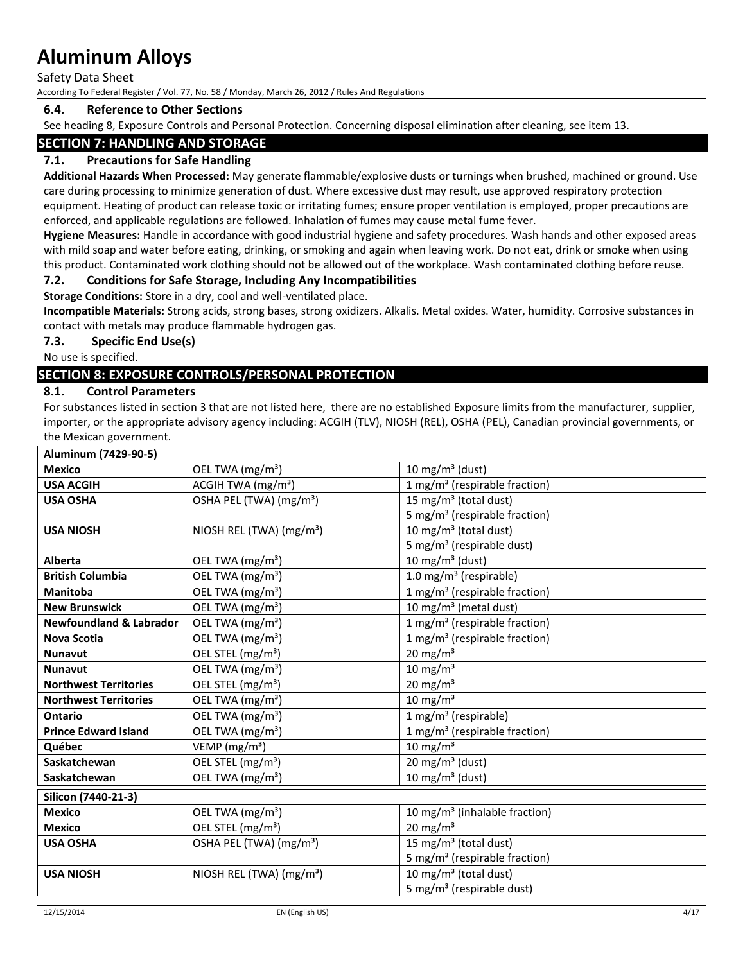Safety Data Sheet

According To Federal Register / Vol. 77, No. 58 / Monday, March 26, 2012 / Rules And Regulations

## **6.4. Reference to Other Sections**

See heading 8, Exposure Controls and Personal Protection. Concerning disposal elimination after cleaning, see item 13.

## **SECTION 7: HANDLING AND STORAGE**

## **7.1. Precautions for Safe Handling**

**Additional Hazards When Processed:** May generate flammable/explosive dusts or turnings when brushed, machined or ground. Use care during processing to minimize generation of dust. Where excessive dust may result, use approved respiratory protection equipment. Heating of product can release toxic or irritating fumes; ensure proper ventilation is employed, proper precautions are enforced, and applicable regulations are followed. Inhalation of fumes may cause metal fume fever.

**Hygiene Measures:** Handle in accordance with good industrial hygiene and safety procedures. Wash hands and other exposed areas with mild soap and water before eating, drinking, or smoking and again when leaving work. Do not eat, drink or smoke when using this product. Contaminated work clothing should not be allowed out of the workplace. Wash contaminated clothing before reuse.

## **7.2. Conditions for Safe Storage, Including Any Incompatibilities**

**Storage Conditions:** Store in a dry, cool and well-ventilated place.

**Incompatible Materials:** Strong acids, strong bases, strong oxidizers. Alkalis. Metal oxides. Water, humidity. Corrosive substances in contact with metals may produce flammable hydrogen gas.

**7.3. Specific End Use(s)**

No use is specified.

## **SECTION 8: EXPOSURE CONTROLS/PERSONAL PROTECTION**

## **8.1. Control Parameters**

For substances listed in section 3 that are not listed here, there are no established Exposure limits from the manufacturer, supplier, importer, or the appropriate advisory agency including: ACGIH (TLV), NIOSH (REL), OSHA (PEL), Canadian provincial governments, or the Mexican government.

| Aluminum (7429-90-5)               |                                      |                                           |
|------------------------------------|--------------------------------------|-------------------------------------------|
| <b>Mexico</b>                      | OEL TWA (mg/m <sup>3</sup> )         | 10 mg/m <sup>3</sup> (dust)               |
| <b>USA ACGIH</b>                   | ACGIH TWA (mg/m <sup>3</sup> )       | 1 mg/m <sup>3</sup> (respirable fraction) |
| <b>USA OSHA</b>                    | OSHA PEL (TWA) (mg/m <sup>3</sup> )  | 15 mg/m <sup>3</sup> (total dust)         |
|                                    |                                      | 5 mg/m <sup>3</sup> (respirable fraction) |
| <b>USA NIOSH</b>                   | NIOSH REL (TWA) (mg/m <sup>3</sup> ) | 10 mg/m <sup>3</sup> (total dust)         |
|                                    |                                      | 5 mg/m <sup>3</sup> (respirable dust)     |
| <b>Alberta</b>                     | OEL TWA (mg/m <sup>3</sup> )         | 10 mg/m <sup>3</sup> (dust)               |
| <b>British Columbia</b>            | OEL TWA (mg/m <sup>3</sup> )         | 1.0 mg/m <sup>3</sup> (respirable)        |
| Manitoba                           | OEL TWA (mg/m <sup>3</sup> )         | 1 mg/m <sup>3</sup> (respirable fraction) |
| <b>New Brunswick</b>               | OEL TWA (mg/m <sup>3</sup> )         | 10 mg/m <sup>3</sup> (metal dust)         |
| <b>Newfoundland &amp; Labrador</b> | OEL TWA (mg/m <sup>3</sup> )         | 1 mg/m <sup>3</sup> (respirable fraction) |
| <b>Nova Scotia</b>                 | OEL TWA (mg/m <sup>3</sup> )         | 1 mg/m <sup>3</sup> (respirable fraction) |
| <b>Nunavut</b>                     | OEL STEL (mg/m <sup>3</sup> )        | $20 \text{ mg/m}^3$                       |
| <b>Nunavut</b>                     | OEL TWA (mg/m <sup>3</sup> )         | $10 \text{ mg/m}^3$                       |
| <b>Northwest Territories</b>       | OEL STEL (mg/m <sup>3</sup> )        | $20 \text{ mg/m}^3$                       |
| <b>Northwest Territories</b>       | OEL TWA (mg/m <sup>3</sup> )         | $10 \text{ mg/m}^3$                       |
| Ontario                            | OEL TWA (mg/m <sup>3</sup> )         | 1 mg/m <sup>3</sup> (respirable)          |
| <b>Prince Edward Island</b>        | OEL TWA (mg/m <sup>3</sup> )         | 1 mg/m <sup>3</sup> (respirable fraction) |
| Québec                             | VEMP ( $mg/m3$ )                     | $10 \text{ mg/m}^3$                       |
| Saskatchewan                       | OEL STEL (mg/m <sup>3</sup> )        | 20 mg/m <sup>3</sup> (dust)               |
| Saskatchewan                       | OEL TWA (mg/m <sup>3</sup> )         | 10 mg/m $3$ (dust)                        |
| Silicon (7440-21-3)                |                                      |                                           |
| <b>Mexico</b>                      | OEL TWA (mg/m <sup>3</sup> )         | 10 mg/m <sup>3</sup> (inhalable fraction) |
| <b>Mexico</b>                      | OEL STEL (mg/m <sup>3</sup> )        | $20 \text{ mg/m}^3$                       |
| <b>USA OSHA</b>                    | OSHA PEL (TWA) (mg/m <sup>3</sup> )  | 15 mg/m <sup>3</sup> (total dust)         |
|                                    |                                      | 5 mg/m <sup>3</sup> (respirable fraction) |
| <b>USA NIOSH</b>                   | NIOSH REL (TWA) $(mg/m3)$            | 10 mg/m <sup>3</sup> (total dust)         |
|                                    |                                      | 5 mg/m <sup>3</sup> (respirable dust)     |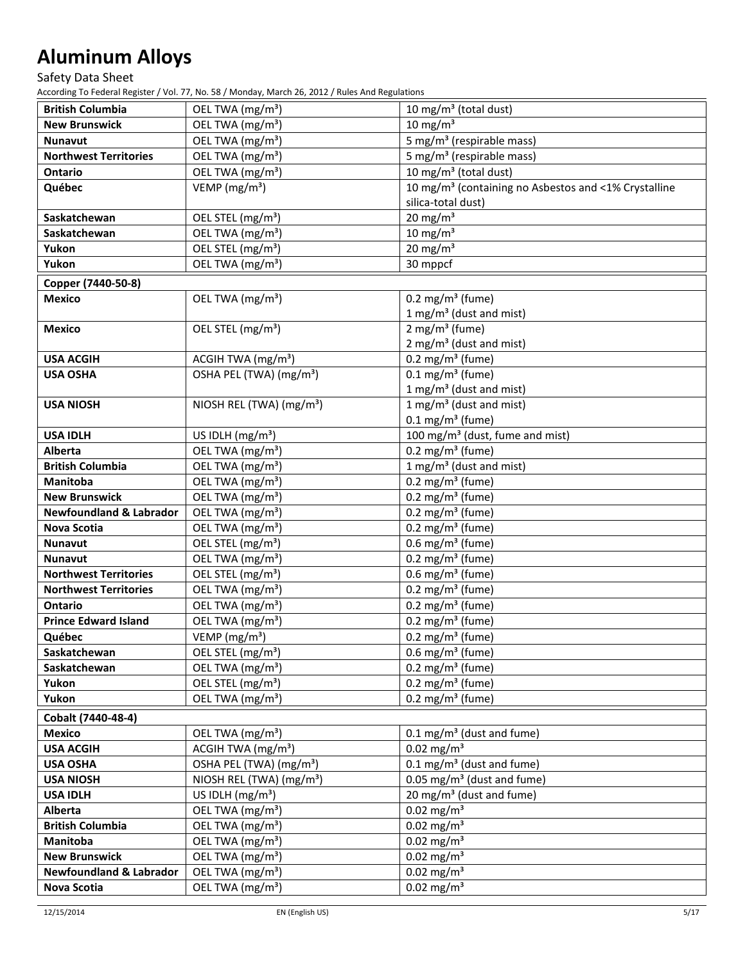## Safety Data Sheet

| <b>British Columbia</b>            | OEL TWA (mg/m <sup>3</sup> )         | 10 mg/m <sup>3</sup> (total dust)                                |
|------------------------------------|--------------------------------------|------------------------------------------------------------------|
| <b>New Brunswick</b>               | OEL TWA (mg/m <sup>3</sup> )         | $10 \text{ mg/m}^3$                                              |
| <b>Nunavut</b>                     | OEL TWA (mg/m <sup>3</sup> )         | 5 mg/m <sup>3</sup> (respirable mass)                            |
| <b>Northwest Territories</b>       | OEL TWA (mg/m <sup>3</sup> )         | 5 mg/m <sup>3</sup> (respirable mass)                            |
| Ontario                            | OEL TWA (mg/m <sup>3</sup> )         | 10 mg/m <sup>3</sup> (total dust)                                |
| Québec                             | VEMP ( $mg/m3$ )                     | 10 mg/m <sup>3</sup> (containing no Asbestos and <1% Crystalline |
|                                    |                                      | silica-total dust)                                               |
| Saskatchewan                       | OEL STEL (mg/m <sup>3</sup> )        | $20$ mg/m <sup>3</sup>                                           |
| Saskatchewan                       | OEL TWA (mg/m <sup>3</sup> )         | $10 \text{ mg/m}^3$                                              |
| Yukon                              | OEL STEL (mg/m <sup>3</sup> )        | $20$ mg/m <sup>3</sup>                                           |
| Yukon                              | OEL TWA (mg/m <sup>3</sup> )         | 30 mppcf                                                         |
| Copper (7440-50-8)                 |                                      |                                                                  |
| <b>Mexico</b>                      | OEL TWA (mg/m <sup>3</sup> )         | $0.2 \text{ mg/m}^3$ (fume)                                      |
|                                    |                                      | 1 mg/m <sup>3</sup> (dust and mist)                              |
| <b>Mexico</b>                      | OEL STEL (mg/m <sup>3</sup> )        | $2$ mg/m <sup>3</sup> (fume)                                     |
|                                    |                                      | $2 \text{ mg/m}^3$ (dust and mist)                               |
| <b>USA ACGIH</b>                   | ACGIH TWA (mg/m <sup>3</sup> )       | 0.2 mg/m <sup>3</sup> (fume)                                     |
| <b>USA OSHA</b>                    | OSHA PEL (TWA) (mg/m <sup>3</sup> )  | $0.1$ mg/m <sup>3</sup> (fume)                                   |
|                                    |                                      | 1 mg/m <sup>3</sup> (dust and mist)                              |
| <b>USA NIOSH</b>                   | NIOSH REL (TWA) (mg/m <sup>3</sup> ) | 1 mg/m <sup>3</sup> (dust and mist)                              |
|                                    |                                      | $0.1 \text{ mg/m}^3$ (fume)                                      |
| <b>USA IDLH</b>                    | US IDLH (mg/m <sup>3</sup> )         | 100 mg/m <sup>3</sup> (dust, fume and mist)                      |
| Alberta                            | OEL TWA (mg/m <sup>3</sup> )         | 0.2 mg/m <sup>3</sup> (fume)                                     |
| <b>British Columbia</b>            | OEL TWA (mg/m <sup>3</sup> )         | 1 mg/m <sup>3</sup> (dust and mist)                              |
| <b>Manitoba</b>                    | OEL TWA (mg/m <sup>3</sup> )         | $0.2$ mg/m <sup>3</sup> (fume)                                   |
| <b>New Brunswick</b>               | OEL TWA (mg/m <sup>3</sup> )         | 0.2 mg/m <sup>3</sup> (fume)                                     |
| <b>Newfoundland &amp; Labrador</b> | OEL TWA (mg/m <sup>3</sup> )         | 0.2 mg/m <sup>3</sup> (fume)                                     |
| <b>Nova Scotia</b>                 | OEL TWA (mg/m <sup>3</sup> )         | 0.2 mg/m <sup>3</sup> (fume)                                     |
| <b>Nunavut</b>                     | OEL STEL (mg/m <sup>3</sup> )        | 0.6 mg/m <sup>3</sup> (fume)                                     |
| <b>Nunavut</b>                     | OEL TWA (mg/m <sup>3</sup> )         | 0.2 mg/m <sup>3</sup> (fume)                                     |
| <b>Northwest Territories</b>       | OEL STEL (mg/m <sup>3</sup> )        | $0.6$ mg/m <sup>3</sup> (fume)                                   |
| <b>Northwest Territories</b>       | OEL TWA (mg/m <sup>3</sup> )         | 0.2 mg/m <sup>3</sup> (fume)                                     |
| <b>Ontario</b>                     | OEL TWA (mg/m <sup>3</sup> )         | $\overline{0.2 \text{ mg}}/\text{m}^3$ (fume)                    |
| <b>Prince Edward Island</b>        | OEL TWA (mg/m <sup>3</sup> )         | 0.2 mg/m <sup>3</sup> (fume)                                     |
| Québec                             | VEMP ( $mg/m3$ )                     | 0.2 mg/m <sup>3</sup> (fume)                                     |
| Saskatchewan                       | OEL STEL (mg/m <sup>3</sup> )        | 0.6 mg/m <sup>3</sup> (fume)                                     |
| Saskatchewan                       | OEL TWA (mg/m <sup>3</sup> )         | 0.2 mg/m <sup>3</sup> (fume)                                     |
| Yukon                              | OEL STEL (mg/m <sup>3</sup> )        | 0.2 mg/m <sup>3</sup> (fume)                                     |
| Yukon                              | OEL TWA (mg/m <sup>3</sup> )         | $0.2$ mg/m <sup>3</sup> (fume)                                   |
| Cobalt (7440-48-4)                 |                                      |                                                                  |
| <b>Mexico</b>                      | OEL TWA (mg/m <sup>3</sup> )         | $0.1 \text{ mg/m}^3$ (dust and fume)                             |
| <b>USA ACGIH</b>                   | ACGIH TWA (mg/m <sup>3</sup> )       | $0.02$ mg/m <sup>3</sup>                                         |
| <b>USA OSHA</b>                    | OSHA PEL (TWA) (mg/m <sup>3</sup> )  | $0.1 \text{ mg/m}^3$ (dust and fume)                             |
| <b>USA NIOSH</b>                   | NIOSH REL (TWA) (mg/m <sup>3</sup> ) | $0.05$ mg/m <sup>3</sup> (dust and fume)                         |
| <b>USA IDLH</b>                    | US IDLH $(mg/m3)$                    | 20 mg/m <sup>3</sup> (dust and fume)                             |
| <b>Alberta</b>                     | OEL TWA (mg/m <sup>3</sup> )         | $0.02$ mg/m <sup>3</sup>                                         |
| <b>British Columbia</b>            | OEL TWA (mg/m <sup>3</sup> )         | $0.02$ mg/m <sup>3</sup>                                         |
| <b>Manitoba</b>                    | OEL TWA (mg/m <sup>3</sup> )         | $0.02$ mg/m <sup>3</sup>                                         |
| <b>New Brunswick</b>               | OEL TWA (mg/m <sup>3</sup> )         | $0.02$ mg/m <sup>3</sup>                                         |
| <b>Newfoundland &amp; Labrador</b> | OEL TWA (mg/m <sup>3</sup> )         | $0.02$ mg/m <sup>3</sup>                                         |
| <b>Nova Scotia</b>                 | OEL TWA (mg/m <sup>3</sup> )         | $0.02$ mg/m <sup>3</sup>                                         |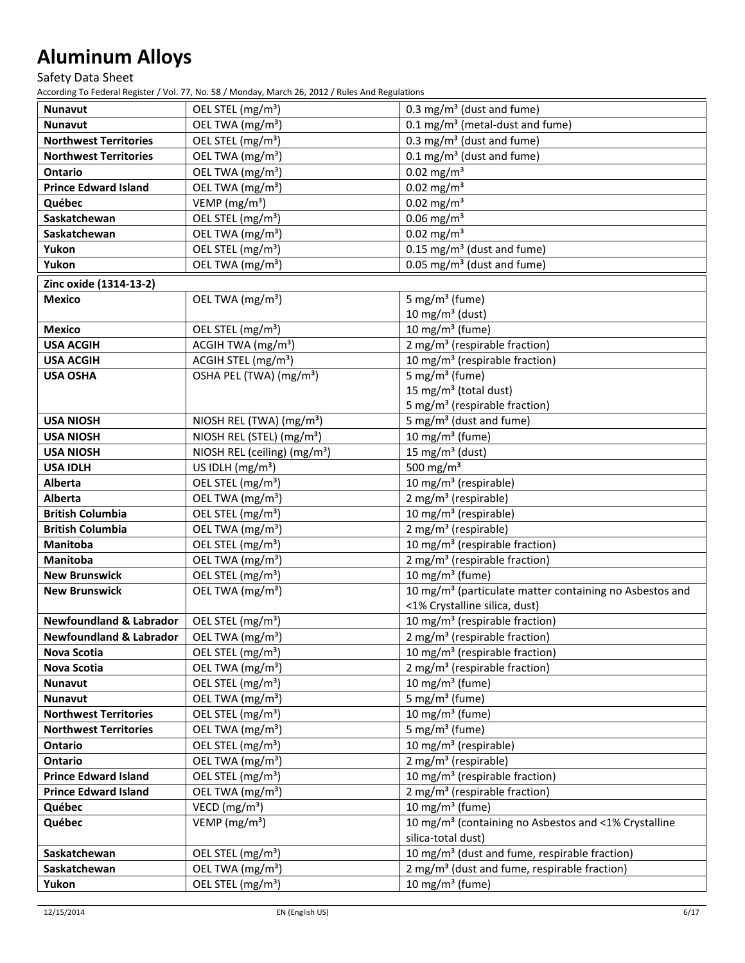## Safety Data Sheet

| Nunavut                            | OEL STEL (mg/m <sup>3</sup> )            | 0.3 mg/m <sup>3</sup> (dust and fume)                               |
|------------------------------------|------------------------------------------|---------------------------------------------------------------------|
| <b>Nunavut</b>                     | OEL TWA (mg/m <sup>3</sup> )             | $0.1 \text{ mg/m}^3$ (metal-dust and fume)                          |
| <b>Northwest Territories</b>       | OEL STEL (mg/m <sup>3</sup> )            | 0.3 mg/m <sup>3</sup> (dust and fume)                               |
| <b>Northwest Territories</b>       | OEL TWA (mg/m <sup>3</sup> )             | $0.1 \text{ mg/m}^3$ (dust and fume)                                |
| <b>Ontario</b>                     | OEL TWA (mg/m <sup>3</sup> )             | $0.02$ mg/m <sup>3</sup>                                            |
| <b>Prince Edward Island</b>        | OEL TWA (mg/m <sup>3</sup> )             | $0.02$ mg/m <sup>3</sup>                                            |
| Québec                             | VEMP (mg/m <sup>3</sup> )                | $0.02$ mg/m <sup>3</sup>                                            |
| Saskatchewan                       | OEL STEL (mg/m <sup>3</sup> )            | $0.06$ mg/m <sup>3</sup>                                            |
| Saskatchewan                       | OEL TWA (mg/m <sup>3</sup> )             | $0.02$ mg/m <sup>3</sup>                                            |
| Yukon                              | OEL STEL (mg/m <sup>3</sup> )            | $0.15$ mg/m <sup>3</sup> (dust and fume)                            |
| Yukon                              | OEL TWA (mg/m <sup>3</sup> )             | 0.05 mg/m <sup>3</sup> (dust and fume)                              |
| Zinc oxide (1314-13-2)             |                                          |                                                                     |
| <b>Mexico</b>                      | OEL TWA (mg/m <sup>3</sup> )             | 5 mg/m <sup>3</sup> (fume)                                          |
|                                    |                                          | 10 mg/m $3$ (dust)                                                  |
| <b>Mexico</b>                      | OEL STEL (mg/m <sup>3</sup> )            | $10$ mg/m <sup>3</sup> (fume)                                       |
| <b>USA ACGIH</b>                   | ACGIH TWA (mg/m <sup>3</sup> )           | 2 mg/m <sup>3</sup> (respirable fraction)                           |
| <b>USA ACGIH</b>                   | ACGIH STEL (mg/m <sup>3</sup> )          | 10 mg/m <sup>3</sup> (respirable fraction)                          |
| <b>USA OSHA</b>                    | OSHA PEL (TWA) (mg/m <sup>3</sup> )      | 5 mg/m <sup>3</sup> (fume)                                          |
|                                    |                                          | 15 mg/m <sup>3</sup> (total dust)                                   |
|                                    |                                          | 5 mg/m <sup>3</sup> (respirable fraction)                           |
| <b>USA NIOSH</b>                   | NIOSH REL (TWA) (mg/m <sup>3</sup> )     | 5 mg/m <sup>3</sup> (dust and fume)                                 |
| <b>USA NIOSH</b>                   | NIOSH REL (STEL) (mg/m <sup>3</sup> )    | 10 mg/m <sup>3</sup> (fume)                                         |
| <b>USA NIOSH</b>                   | NIOSH REL (ceiling) (mg/m <sup>3</sup> ) | 15 mg/m <sup>3</sup> (dust)                                         |
| <b>USA IDLH</b>                    | US IDLH $(mg/m3)$                        | 500 mg/m $3$                                                        |
| Alberta                            | OEL STEL (mg/m <sup>3</sup> )            | 10 mg/m <sup>3</sup> (respirable)                                   |
| <b>Alberta</b>                     | OEL TWA (mg/m <sup>3</sup> )             | $2$ mg/m <sup>3</sup> (respirable)                                  |
| <b>British Columbia</b>            | OEL STEL (mg/m <sup>3</sup> )            | 10 mg/m <sup>3</sup> (respirable)                                   |
| <b>British Columbia</b>            | OEL TWA (mg/m <sup>3</sup> )             | 2 mg/m <sup>3</sup> (respirable)                                    |
| <b>Manitoba</b>                    | OEL STEL (mg/m <sup>3</sup> )            | 10 mg/m <sup>3</sup> (respirable fraction)                          |
| <b>Manitoba</b>                    | OEL TWA (mg/m <sup>3</sup> )             | 2 mg/m <sup>3</sup> (respirable fraction)                           |
| <b>New Brunswick</b>               | OEL STEL (mg/m <sup>3</sup> )            | 10 mg/m <sup>3</sup> (fume)                                         |
| <b>New Brunswick</b>               | OEL TWA (mg/m <sup>3</sup> )             | 10 mg/m <sup>3</sup> (particulate matter containing no Asbestos and |
|                                    |                                          | <1% Crystalline silica, dust)                                       |
| <b>Newfoundland &amp; Labrador</b> | OEL STEL (mg/m <sup>3</sup> )            | 10 mg/m <sup>3</sup> (respirable fraction)                          |
| <b>Newfoundland &amp; Labrador</b> | OEL TWA (mg/m <sup>3</sup> )             | 2 mg/m <sup>3</sup> (respirable fraction)                           |
| <b>Nova Scotia</b>                 | OEL STEL (mg/m <sup>3</sup> )            | 10 mg/m <sup>3</sup> (respirable fraction)                          |
| <b>Nova Scotia</b>                 | OEL TWA (mg/m <sup>3</sup> )             | 2 mg/m <sup>3</sup> (respirable fraction)                           |
| <b>Nunavut</b>                     | OEL STEL (mg/m <sup>3</sup> )            | 10 mg/m <sup>3</sup> (fume)                                         |
| Nunavut                            | OEL TWA (mg/m <sup>3</sup> )             | 5 mg/m <sup>3</sup> (fume)                                          |
| <b>Northwest Territories</b>       | OEL STEL (mg/m <sup>3</sup> )            | $10$ mg/m <sup>3</sup> (fume)                                       |
| <b>Northwest Territories</b>       | OEL TWA (mg/m <sup>3</sup> )             | 5 mg/m <sup>3</sup> (fume)                                          |
| Ontario                            | OEL STEL (mg/m <sup>3</sup> )            | 10 mg/m <sup>3</sup> (respirable)                                   |
| <b>Ontario</b>                     | OEL TWA (mg/m <sup>3</sup> )             | 2 mg/m <sup>3</sup> (respirable)                                    |
| <b>Prince Edward Island</b>        | OEL STEL (mg/m <sup>3</sup> )            | 10 mg/m <sup>3</sup> (respirable fraction)                          |
| <b>Prince Edward Island</b>        | OEL TWA (mg/m <sup>3</sup> )             | 2 mg/m <sup>3</sup> (respirable fraction)                           |
| Québec                             | VECD ( $mg/m3$ )                         | 10 mg/m $3$ (fume)                                                  |
| Québec                             | VEMP ( $mg/m3$ )                         | 10 mg/m <sup>3</sup> (containing no Asbestos and <1% Crystalline    |
|                                    |                                          | silica-total dust)                                                  |
| Saskatchewan                       | OEL STEL (mg/m <sup>3</sup> )            | 10 mg/m <sup>3</sup> (dust and fume, respirable fraction)           |
| Saskatchewan                       | OEL TWA (mg/m <sup>3</sup> )             | 2 mg/m <sup>3</sup> (dust and fume, respirable fraction)            |
| Yukon                              | OEL STEL (mg/m <sup>3</sup> )            | 10 mg/m <sup>3</sup> (fume)                                         |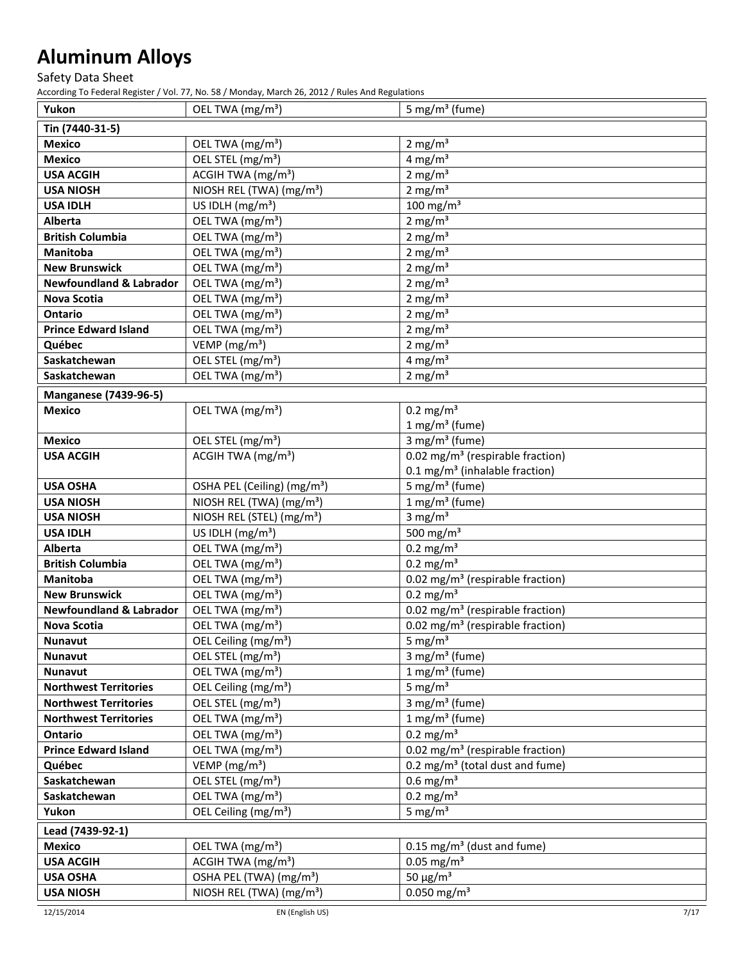Safety Data Sheet

| Yukon                                   | OEL TWA (mg/m <sup>3</sup> )                                 | 5 mg/m <sup>3</sup> (fume)                                           |
|-----------------------------------------|--------------------------------------------------------------|----------------------------------------------------------------------|
| Tin (7440-31-5)                         |                                                              |                                                                      |
| <b>Mexico</b>                           | OEL TWA (mg/m <sup>3</sup> )                                 | $2 \text{ mg/m}^3$                                                   |
| <b>Mexico</b>                           | OEL STEL (mg/m <sup>3</sup> )                                | $4$ mg/m <sup>3</sup>                                                |
| <b>USA ACGIH</b>                        | ACGIH TWA (mg/m <sup>3</sup> )                               | 2 mg/ $m3$                                                           |
| <b>USA NIOSH</b>                        | NIOSH REL (TWA) (mg/m <sup>3</sup> )                         | 2 mg/ $m3$                                                           |
| <b>USA IDLH</b>                         | US IDLH $(mg/m3)$                                            | $100$ mg/m <sup>3</sup>                                              |
| Alberta                                 | OEL TWA (mg/m <sup>3</sup> )                                 | 2 mg/ $m3$                                                           |
| <b>British Columbia</b>                 | OEL TWA (mg/m <sup>3</sup> )                                 | 2 mg/ $m3$                                                           |
| <b>Manitoba</b>                         | OEL TWA (mg/m <sup>3</sup> )                                 | $2$ mg/m <sup>3</sup>                                                |
| <b>New Brunswick</b>                    | OEL TWA (mg/m <sup>3</sup> )                                 | 2 mg/ $m3$                                                           |
| <b>Newfoundland &amp; Labrador</b>      | OEL TWA (mg/m <sup>3</sup> )                                 | $2$ mg/m <sup>3</sup>                                                |
| <b>Nova Scotia</b>                      | OEL TWA (mg/m <sup>3</sup> )                                 | 2 mg/ $m3$                                                           |
| Ontario                                 | OEL TWA (mg/m <sup>3</sup> )                                 | 2 mg/ $m3$                                                           |
| <b>Prince Edward Island</b>             | OEL TWA (mg/m <sup>3</sup> )                                 | 2 mg/ $m3$                                                           |
| Québec                                  | VEMP (mg/m <sup>3</sup> )                                    | 2 mg/ $m3$                                                           |
| Saskatchewan                            | OEL STEL (mg/m <sup>3</sup> )                                | $4$ mg/m <sup>3</sup>                                                |
| Saskatchewan                            | OEL TWA (mg/m <sup>3</sup> )                                 | 2 mg/ $m3$                                                           |
| <b>Manganese (7439-96-5)</b>            |                                                              |                                                                      |
| <b>Mexico</b>                           | OEL TWA (mg/m <sup>3</sup> )                                 | $0.2 \text{ mg/m}^3$                                                 |
|                                         |                                                              | $1$ mg/m <sup>3</sup> (fume)                                         |
| <b>Mexico</b>                           | OEL STEL (mg/m <sup>3</sup> )                                | 3 mg/m <sup>3</sup> (fume)                                           |
| <b>USA ACGIH</b>                        | ACGIH TWA (mg/m <sup>3</sup> )                               | $\overline{0.02}$ mg/m <sup>3</sup> (respirable fraction)            |
|                                         |                                                              | 0.1 mg/m <sup>3</sup> (inhalable fraction)                           |
| <b>USA OSHA</b>                         | OSHA PEL (Ceiling) (mg/m <sup>3</sup> )                      | 5 mg/m <sup>3</sup> (fume)                                           |
| <b>USA NIOSH</b>                        | NIOSH REL (TWA) (mg/m <sup>3</sup> )                         | $1$ mg/m <sup>3</sup> (fume)                                         |
| <b>USA NIOSH</b>                        | NIOSH REL (STEL) (mg/m <sup>3</sup> )                        | 3 mg/ $m3$                                                           |
| <b>USA IDLH</b>                         | US IDLH $(mg/m3)$                                            | 500 mg/m <sup>3</sup>                                                |
| <b>Alberta</b>                          | OEL TWA (mg/m <sup>3</sup> )                                 | $0.2 \text{ mg/m}^3$                                                 |
| <b>British Columbia</b>                 | OEL TWA (mg/m <sup>3</sup> )                                 | $0.2$ mg/m <sup>3</sup>                                              |
| <b>Manitoba</b><br><b>New Brunswick</b> | OEL TWA (mg/m <sup>3</sup> )<br>OEL TWA (mg/m <sup>3</sup> ) | 0.02 mg/m <sup>3</sup> (respirable fraction)<br>$0.2 \text{ mg/m}^3$ |
| <b>Newfoundland &amp; Labrador</b>      | OEL TWA (mg/m <sup>3</sup> )                                 | 0.02 mg/m <sup>3</sup> (respirable fraction)                         |
| <b>Nova Scotia</b>                      | OEL TWA (mg/m <sup>3</sup> )                                 | 0.02 mg/m <sup>3</sup> (respirable fraction)                         |
| <b>Nunavut</b>                          | OEL Ceiling (mg/m <sup>3</sup> )                             | 5 mg/ $m3$                                                           |
| Nunavut                                 | OEL STEL (mg/m <sup>3</sup> )                                | 3 mg/m <sup>3</sup> (fume)                                           |
| <b>Nunavut</b>                          | OEL TWA (mg/m <sup>3</sup> )                                 | $1$ mg/m <sup>3</sup> (fume)                                         |
| <b>Northwest Territories</b>            | OEL Ceiling (mg/m <sup>3</sup> )                             | 5 mg/ $m3$                                                           |
| <b>Northwest Territories</b>            | OEL STEL (mg/m <sup>3</sup> )                                | 3 mg/m <sup>3</sup> (fume)                                           |
| <b>Northwest Territories</b>            | OEL TWA (mg/m <sup>3</sup> )                                 | $1$ mg/m <sup>3</sup> (fume)                                         |
| Ontario                                 | OEL TWA (mg/m <sup>3</sup> )                                 | $0.2 \text{ mg/m}^3$                                                 |
| <b>Prince Edward Island</b>             | OEL TWA (mg/m <sup>3</sup> )                                 | 0.02 mg/m <sup>3</sup> (respirable fraction)                         |
| Québec                                  | VEMP (mg/m <sup>3</sup> )                                    | 0.2 mg/m <sup>3</sup> (total dust and fume)                          |
| Saskatchewan                            | OEL STEL (mg/m <sup>3</sup> )                                | $0.6$ mg/m <sup>3</sup>                                              |
| Saskatchewan                            | OEL TWA (mg/m <sup>3</sup> )                                 | $0.2 \text{ mg/m}^3$                                                 |
| Yukon                                   | OEL Ceiling (mg/m <sup>3</sup> )                             | 5 mg/ $m3$                                                           |
| Lead (7439-92-1)                        |                                                              |                                                                      |
| <b>Mexico</b>                           | OEL TWA (mg/m <sup>3</sup> )                                 | $0.15$ mg/m <sup>3</sup> (dust and fume)                             |
| <b>USA ACGIH</b>                        | ACGIH TWA (mg/m <sup>3</sup> )                               | $0.05$ mg/m <sup>3</sup>                                             |
| <b>USA OSHA</b>                         | OSHA PEL (TWA) (mg/m <sup>3</sup> )                          | 50 $\mu$ g/m <sup>3</sup>                                            |
| <b>USA NIOSH</b>                        | NIOSH REL (TWA) (mg/m <sup>3</sup> )                         | $0.050$ mg/m <sup>3</sup>                                            |
|                                         |                                                              |                                                                      |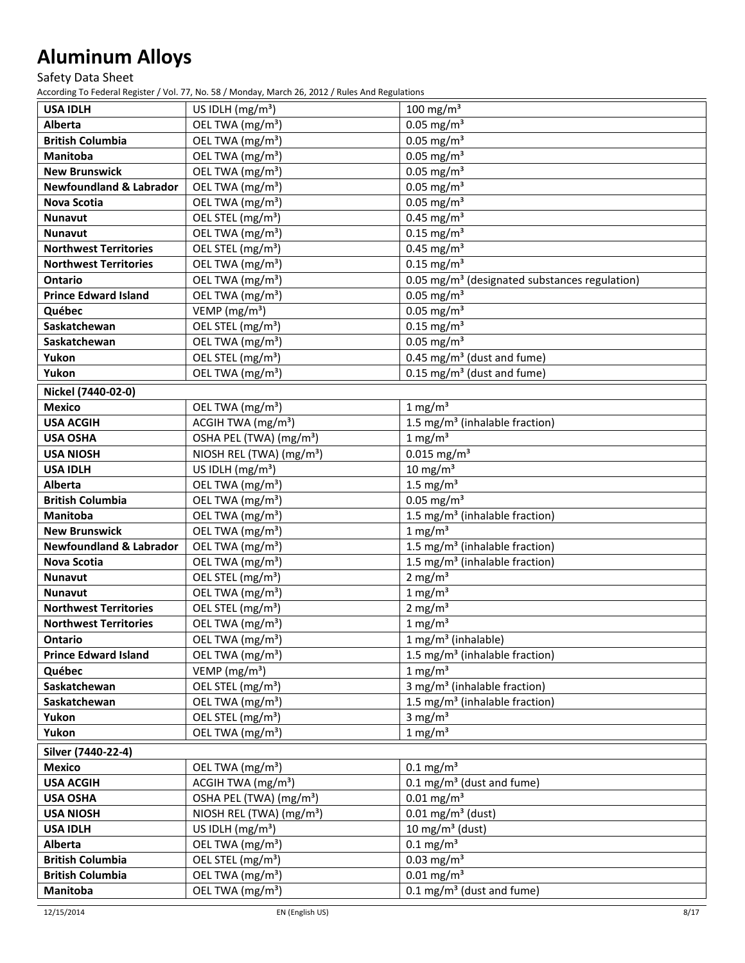Safety Data Sheet

| $100$ mg/m <sup>3</sup><br><b>USA IDLH</b><br>US IDLH $(mg/m3)$                                                  |  |
|------------------------------------------------------------------------------------------------------------------|--|
| <b>Alberta</b><br>OEL TWA (mg/m <sup>3</sup> )<br>$0.05$ mg/m <sup>3</sup>                                       |  |
| $0.05$ mg/m <sup>3</sup><br>OEL TWA (mg/m <sup>3</sup> )<br><b>British Columbia</b>                              |  |
| $0.05$ mg/m <sup>3</sup><br>OEL TWA (mg/m <sup>3</sup> )<br><b>Manitoba</b>                                      |  |
| $0.05$ mg/m <sup>3</sup><br>OEL TWA (mg/m <sup>3</sup> )<br><b>New Brunswick</b>                                 |  |
| $0.05$ mg/m <sup>3</sup><br><b>Newfoundland &amp; Labrador</b><br>OEL TWA (mg/m <sup>3</sup> )                   |  |
| $0.05$ mg/m <sup>3</sup><br>OEL TWA (mg/m <sup>3</sup> )<br>Nova Scotia                                          |  |
| $0.45$ mg/m <sup>3</sup><br>OEL STEL (mg/m <sup>3</sup> )<br>Nunavut                                             |  |
| $0.15$ mg/m <sup>3</sup><br>OEL TWA (mg/m <sup>3</sup> )<br>Nunavut                                              |  |
| OEL STEL (mg/m <sup>3</sup> )<br>$0.45$ mg/m <sup>3</sup><br><b>Northwest Territories</b>                        |  |
| OEL TWA (mg/m <sup>3</sup> )<br>$0.15$ mg/m <sup>3</sup><br><b>Northwest Territories</b>                         |  |
| OEL TWA (mg/m <sup>3</sup> )<br>0.05 mg/m <sup>3</sup> (designated substances regulation)<br><b>Ontario</b>      |  |
| $0.05$ mg/m <sup>3</sup><br>OEL TWA (mg/m <sup>3</sup> )<br><b>Prince Edward Island</b>                          |  |
| $0.05$ mg/m <sup>3</sup><br>Québec<br>VEMP (mg/m <sup>3</sup> )                                                  |  |
| $0.15$ mg/m <sup>3</sup><br>OEL STEL (mg/m <sup>3</sup> )<br>Saskatchewan                                        |  |
| $0.05 \text{ mg/m}^3$<br>OEL TWA (mg/m <sup>3</sup> )<br>Saskatchewan                                            |  |
| OEL STEL (mg/m <sup>3</sup> )<br>0.45 mg/m <sup>3</sup> (dust and fume)<br>Yukon                                 |  |
| Yukon<br>OEL TWA (mg/m <sup>3</sup> )<br>$0.15$ mg/m <sup>3</sup> (dust and fume)                                |  |
| Nickel (7440-02-0)                                                                                               |  |
| 1 mg/m <sup>3</sup><br><b>Mexico</b><br>OEL TWA (mg/m <sup>3</sup> )                                             |  |
| ACGIH TWA (mg/m <sup>3</sup> )<br>1.5 mg/m <sup>3</sup> (inhalable fraction)<br><b>USA ACGIH</b>                 |  |
| $1$ mg/m <sup>3</sup><br><b>USA OSHA</b><br>OSHA PEL (TWA) (mg/m <sup>3</sup> )                                  |  |
| $0.015$ mg/m <sup>3</sup><br><b>USA NIOSH</b><br>NIOSH REL (TWA) (mg/m <sup>3</sup> )                            |  |
| US IDLH (mg/m <sup>3</sup> )<br>$10 \text{ mg/m}^3$<br><b>USA IDLH</b>                                           |  |
| 1.5 mg/ $m3$<br>Alberta<br>OEL TWA (mg/m <sup>3</sup> )                                                          |  |
| $0.05$ mg/m <sup>3</sup><br><b>British Columbia</b><br>OEL TWA (mg/m <sup>3</sup> )                              |  |
| OEL TWA (mg/m <sup>3</sup> )<br>1.5 mg/m <sup>3</sup> (inhalable fraction)<br><b>Manitoba</b>                    |  |
| $1$ mg/m <sup>3</sup><br>OEL TWA (mg/m <sup>3</sup> )<br><b>New Brunswick</b>                                    |  |
| OEL TWA (mg/m <sup>3</sup> )<br>1.5 mg/m <sup>3</sup> (inhalable fraction)<br><b>Newfoundland &amp; Labrador</b> |  |
| OEL TWA (mg/m <sup>3</sup> )<br>1.5 mg/m <sup>3</sup> (inhalable fraction)<br><b>Nova Scotia</b>                 |  |
| OEL STEL (mg/m <sup>3</sup> )<br>2 mg/ $m3$<br>Nunavut                                                           |  |
| $1$ mg/m <sup>3</sup><br>OEL TWA (mg/m <sup>3</sup> )<br>Nunavut                                                 |  |
| OEL STEL (mg/m <sup>3</sup> )<br>$2 \text{ mg/m}^3$<br><b>Northwest Territories</b>                              |  |
| $1 \text{ mg/m}^3$<br>OEL TWA (mg/m <sup>3</sup> )<br><b>Northwest Territories</b>                               |  |
| OEL TWA (mg/m <sup>3</sup> )<br>$1 mg/m3$ (inhalable)<br>Ontario                                                 |  |
| 1.5 mg/m <sup>3</sup> (inhalable fraction)<br><b>Prince Edward Island</b><br>OEL TWA (mg/m <sup>3</sup> )        |  |
| VEMP ( $mg/m3$ )<br>$1 \text{ mg/m}^3$<br>Québec                                                                 |  |
| 3 mg/m <sup>3</sup> (inhalable fraction)<br>OEL STEL (mg/m <sup>3</sup> )<br>Saskatchewan                        |  |
| OEL TWA (mg/m <sup>3</sup> )<br>1.5 mg/m <sup>3</sup> (inhalable fraction)<br>Saskatchewan                       |  |
| OEL STEL (mg/m <sup>3</sup> )<br>3 mg/ $m3$<br>Yukon                                                             |  |
| $1 \text{ mg/m}^3$<br>OEL TWA (mg/m <sup>3</sup> )<br>Yukon                                                      |  |
| Silver (7440-22-4)                                                                                               |  |
| OEL TWA (mg/m <sup>3</sup> )<br>$0.1 \text{ mg/m}^3$<br><b>Mexico</b>                                            |  |
| ACGIH TWA (mg/m <sup>3</sup> )<br>$0.1 \text{ mg/m}^3$ (dust and fume)<br><b>USA ACGIH</b>                       |  |
| $0.01$ mg/m <sup>3</sup><br>OSHA PEL (TWA) (mg/m <sup>3</sup> )<br><b>USA OSHA</b>                               |  |
| NIOSH REL (TWA) (mg/m <sup>3</sup> )<br>$0.01 \,\mathrm{mg/m^3}$ (dust)<br><b>USA NIOSH</b>                      |  |
| 10 mg/m $3$ (dust)<br><b>USA IDLH</b><br>US IDLH $(mg/m3)$                                                       |  |
| OEL TWA (mg/m <sup>3</sup> )<br>$0.1$ mg/m <sup>3</sup><br><b>Alberta</b>                                        |  |
| $0.03$ mg/m <sup>3</sup><br><b>British Columbia</b><br>OEL STEL (mg/m <sup>3</sup> )                             |  |
| $0.01$ mg/m <sup>3</sup><br>OEL TWA (mg/m <sup>3</sup> )<br><b>British Columbia</b>                              |  |
| OEL TWA (mg/m <sup>3</sup> )<br>$0.1 \text{ mg/m}^3$ (dust and fume)<br>Manitoba                                 |  |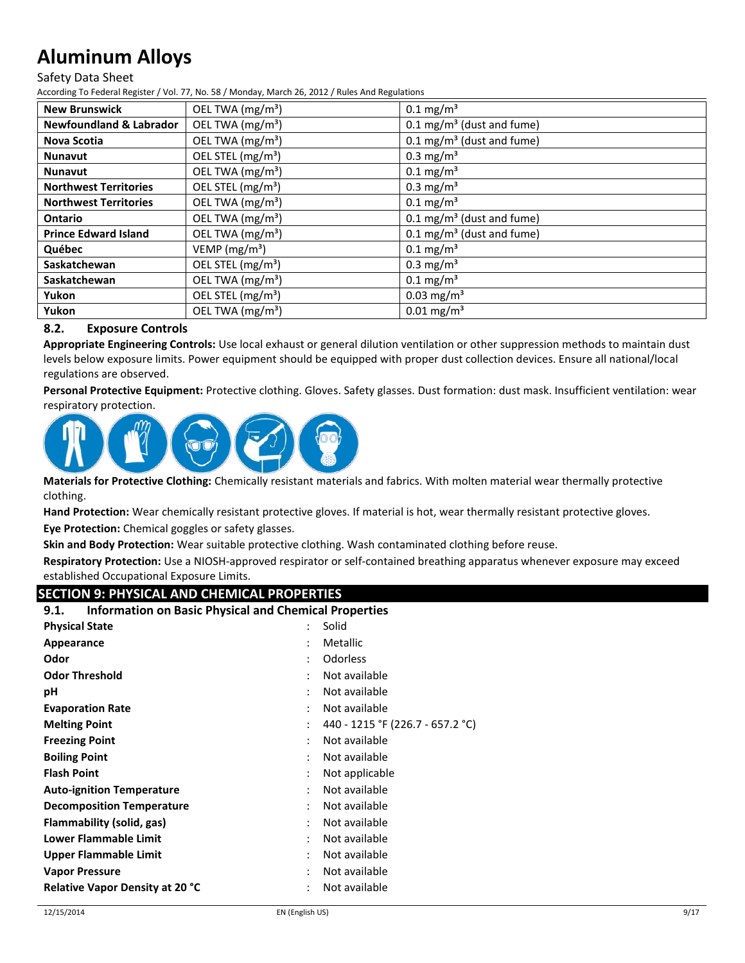#### Safety Data Sheet

According To Federal Register / Vol. 77, No. 58 / Monday, March 26, 2012 / Rules And Regulations

| <b>New Brunswick</b>               | OEL TWA (mg/m <sup>3</sup> )  | $0.1 \text{ mg/m}^3$                 |
|------------------------------------|-------------------------------|--------------------------------------|
| <b>Newfoundland &amp; Labrador</b> | OEL TWA (mg/m <sup>3</sup> )  | $0.1 \text{ mg/m}^3$ (dust and fume) |
| <b>Nova Scotia</b>                 | OEL TWA (mg/m <sup>3</sup> )  | $0.1 \text{ mg/m}^3$ (dust and fume) |
| <b>Nunavut</b>                     | OEL STEL (mg/m <sup>3</sup> ) | $0.3 \text{ mg/m}^3$                 |
| <b>Nunavut</b>                     | OEL TWA (mg/m <sup>3</sup> )  | $0.1 \,\mathrm{mg/m^3}$              |
| <b>Northwest Territories</b>       | OEL STEL (mg/m <sup>3</sup> ) | $0.3 \text{ mg/m}^3$                 |
| <b>Northwest Territories</b>       | OEL TWA (mg/m <sup>3</sup> )  | $0.1 \text{ mg/m}^3$                 |
| <b>Ontario</b>                     | OEL TWA (mg/m <sup>3</sup> )  | $0.1 \text{ mg/m}^3$ (dust and fume) |
| <b>Prince Edward Island</b>        | OEL TWA (mg/m <sup>3</sup> )  | $0.1 \text{ mg/m}^3$ (dust and fume) |
| Québec                             | VEMP ( $mg/m3$ )              | $0.1 \text{ mg/m}^3$                 |
| Saskatchewan                       | OEL STEL (mg/m <sup>3</sup> ) | $0.3 \text{ mg/m}^3$                 |
| Saskatchewan                       | OEL TWA (mg/m <sup>3</sup> )  | $0.1 \text{ mg/m}^3$                 |
| Yukon                              | OEL STEL (mg/m <sup>3</sup> ) | $0.03$ mg/m <sup>3</sup>             |
| Yukon                              | OEL TWA (mg/m <sup>3</sup> )  | $0.01 \,\mathrm{mg/m^3}$             |

## **8.2. Exposure Controls**

**Appropriate Engineering Controls:** Use local exhaust or general dilution ventilation or other suppression methods to maintain dust levels below exposure limits. Power equipment should be equipped with proper dust collection devices. Ensure all national/local regulations are observed.

**Personal Protective Equipment:** Protective clothing. Gloves. Safety glasses. Dust formation: dust mask. Insufficient ventilation: wear respiratory protection.



**Materials for Protective Clothing:** Chemically resistant materials and fabrics. With molten material wear thermally protective clothing.

**Hand Protection:** Wear chemically resistant protective gloves. If material is hot, wear thermally resistant protective gloves.

**Eye Protection:** Chemical goggles or safety glasses.

**Skin and Body Protection:** Wear suitable protective clothing. Wash contaminated clothing before reuse.

**Respiratory Protection:** Use a NIOSH-approved respirator or self-contained breathing apparatus whenever exposure may exceed established Occupational Exposure Limits.

## **SECTION 9: PHYSICAL AND CHEMICAL PROPERTIES**

| <b>Physical State</b><br>Solid<br>$\ddot{\phantom{0}}$<br>Metallic<br>Appearance<br>Odor<br><b>Odorless</b><br><b>Odor Threshold</b><br>Not available |
|-------------------------------------------------------------------------------------------------------------------------------------------------------|
|                                                                                                                                                       |
|                                                                                                                                                       |
|                                                                                                                                                       |
|                                                                                                                                                       |
| Not available<br>рH                                                                                                                                   |
| Not available<br><b>Evaporation Rate</b>                                                                                                              |
| 440 - 1215 °F (226.7 - 657.2 °C)<br><b>Melting Point</b>                                                                                              |
| Not available<br><b>Freezing Point</b>                                                                                                                |
| Not available<br><b>Boiling Point</b>                                                                                                                 |
| <b>Flash Point</b><br>Not applicable                                                                                                                  |
| Not available<br><b>Auto-ignition Temperature</b>                                                                                                     |
| Not available<br><b>Decomposition Temperature</b>                                                                                                     |
| Flammability (solid, gas)<br>Not available                                                                                                            |
| Lower Flammable Limit<br>Not available                                                                                                                |
| Not available<br>Upper Flammable Limit                                                                                                                |
| Not available<br><b>Vapor Pressure</b>                                                                                                                |
| Not available<br><b>Relative Vapor Density at 20 °C</b>                                                                                               |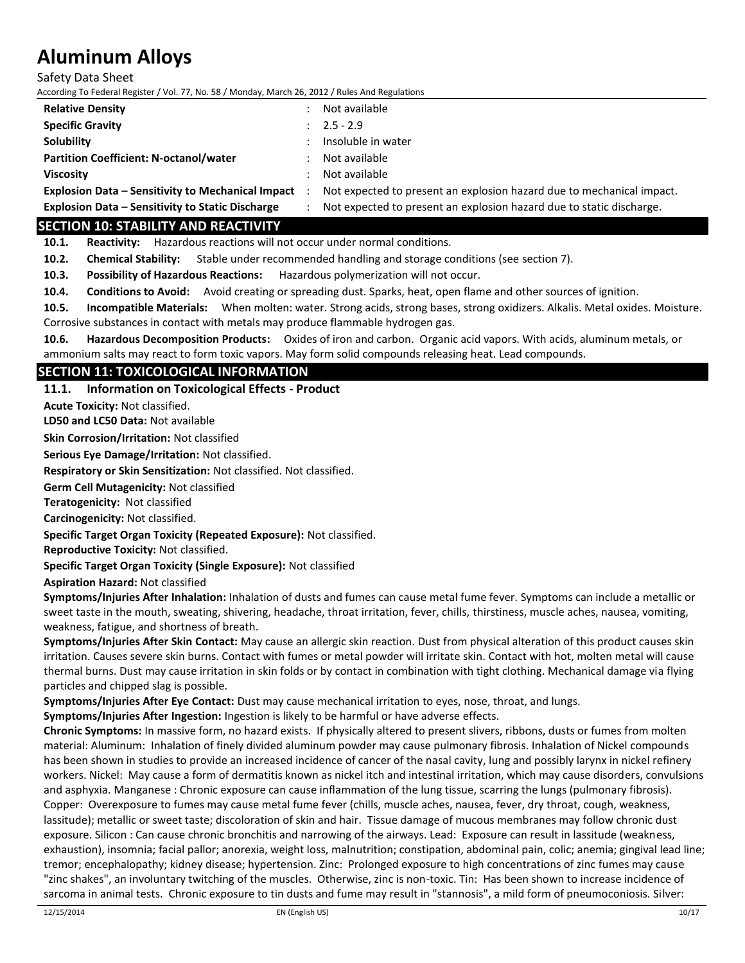Safety Data Sheet

According To Federal Register / Vol. 77, No. 58 / Monday, March 26, 2012 / Rules And Regulations

| <b>Relative Density</b>                                  |              | Not available                                                         |
|----------------------------------------------------------|--------------|-----------------------------------------------------------------------|
| <b>Specific Gravity</b>                                  | $\mathbf{r}$ | $2.5 - 2.9$                                                           |
| Solubility                                               |              | Insoluble in water                                                    |
| <b>Partition Coefficient: N-octanol/water</b>            |              | Not available                                                         |
| <b>Viscosity</b>                                         |              | Not available                                                         |
| <b>Explosion Data - Sensitivity to Mechanical Impact</b> |              | Not expected to present an explosion hazard due to mechanical impact. |
| <b>Explosion Data - Sensitivity to Static Discharge</b>  |              | Not expected to present an explosion hazard due to static discharge.  |

## **SECTION 10: STABILITY AND REACTIVITY**

**10.1. Reactivity:** Hazardous reactions will not occur under normal conditions.

**10.2. Chemical Stability:** Stable under recommended handling and storage conditions (see section 7).

**10.3. Possibility of Hazardous Reactions:** Hazardous polymerization will not occur.

**10.4. Conditions to Avoid:** Avoid creating or spreading dust. Sparks, heat, open flame and other sources of ignition.

**10.5. Incompatible Materials:** When molten: water. Strong acids, strong bases, strong oxidizers. Alkalis. Metal oxides. Moisture. Corrosive substances in contact with metals may produce flammable hydrogen gas.

**10.6. Hazardous Decomposition Products:** Oxides of iron and carbon. Organic acid vapors. With acids, aluminum metals, or ammonium salts may react to form toxic vapors. May form solid compounds releasing heat. Lead compounds.

## **SECTION 11: TOXICOLOGICAL INFORMATION**

**11.1. Information on Toxicological Effects - Product**

**Acute Toxicity:** Not classified.

**LD50 and LC50 Data:** Not available

**Skin Corrosion/Irritation:** Not classified

**Serious Eye Damage/Irritation:** Not classified.

**Respiratory or Skin Sensitization:** Not classified. Not classified.

**Germ Cell Mutagenicity:** Not classified

**Teratogenicity:** Not classified

**Carcinogenicity:** Not classified.

**Specific Target Organ Toxicity (Repeated Exposure):** Not classified.

**Reproductive Toxicity:** Not classified.

**Specific Target Organ Toxicity (Single Exposure):** Not classified

**Aspiration Hazard:** Not classified

**Symptoms/Injuries After Inhalation:** Inhalation of dusts and fumes can cause metal fume fever. Symptoms can include a metallic or sweet taste in the mouth, sweating, shivering, headache, throat irritation, fever, chills, thirstiness, muscle aches, nausea, vomiting, weakness, fatigue, and shortness of breath.

**Symptoms/Injuries After Skin Contact:** May cause an allergic skin reaction. Dust from physical alteration of this product causes skin irritation. Causes severe skin burns. Contact with fumes or metal powder will irritate skin. Contact with hot, molten metal will cause thermal burns. Dust may cause irritation in skin folds or by contact in combination with tight clothing. Mechanical damage via flying particles and chipped slag is possible.

**Symptoms/Injuries After Eye Contact:** Dust may cause mechanical irritation to eyes, nose, throat, and lungs.

**Symptoms/Injuries After Ingestion:** Ingestion is likely to be harmful or have adverse effects.

**Chronic Symptoms:** In massive form, no hazard exists. If physically altered to present slivers, ribbons, dusts or fumes from molten material: Aluminum: Inhalation of finely divided aluminum powder may cause pulmonary fibrosis. Inhalation of Nickel compounds has been shown in studies to provide an increased incidence of cancer of the nasal cavity, lung and possibly larynx in nickel refinery workers. Nickel: May cause a form of dermatitis known as nickel itch and intestinal irritation, which may cause disorders, convulsions and asphyxia. Manganese : Chronic exposure can cause inflammation of the lung tissue, scarring the lungs (pulmonary fibrosis). Copper: Overexposure to fumes may cause metal fume fever (chills, muscle aches, nausea, fever, dry throat, cough, weakness, lassitude); metallic or sweet taste; discoloration of skin and hair. Tissue damage of mucous membranes may follow chronic dust exposure. Silicon : Can cause chronic bronchitis and narrowing of the airways. Lead: Exposure can result in lassitude (weakness, exhaustion), insomnia; facial pallor; anorexia, weight loss, malnutrition; constipation, abdominal pain, colic; anemia; gingival lead line; tremor; encephalopathy; kidney disease; hypertension. Zinc: Prolonged exposure to high concentrations of zinc fumes may cause "zinc shakes", an involuntary twitching of the muscles. Otherwise, zinc is non-toxic. Tin: Has been shown to increase incidence of sarcoma in animal tests. Chronic exposure to tin dusts and fume may result in "stannosis", a mild form of pneumoconiosis. Silver: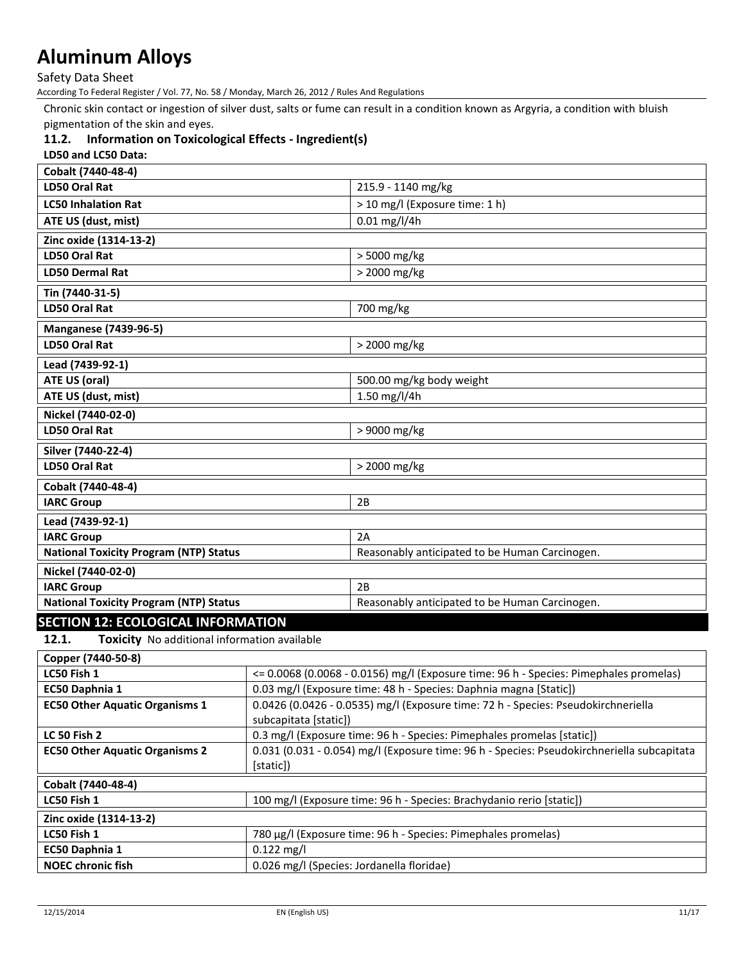Safety Data Sheet

According To Federal Register / Vol. 77, No. 58 / Monday, March 26, 2012 / Rules And Regulations

Chronic skin contact or ingestion of silver dust, salts or fume can result in a condition known as Argyria, a condition with bluish pigmentation of the skin and eyes.

## **11.2. Information on Toxicological Effects - Ingredient(s)**

| LD50 and LC50 Data:                           |                                                |
|-----------------------------------------------|------------------------------------------------|
| Cobalt (7440-48-4)                            |                                                |
| LD50 Oral Rat                                 | 215.9 - 1140 mg/kg                             |
| <b>LC50 Inhalation Rat</b>                    | > 10 mg/l (Exposure time: 1 h)                 |
| ATE US (dust, mist)                           | $0.01$ mg/l/4h                                 |
| Zinc oxide (1314-13-2)                        |                                                |
| LD50 Oral Rat                                 | > 5000 mg/kg                                   |
| <b>LD50 Dermal Rat</b>                        | > 2000 mg/kg                                   |
| Tin (7440-31-5)                               |                                                |
| LD50 Oral Rat                                 | 700 mg/kg                                      |
| <b>Manganese (7439-96-5)</b>                  |                                                |
| LD50 Oral Rat                                 | > 2000 mg/kg                                   |
| Lead (7439-92-1)                              |                                                |
| ATE US (oral)                                 | 500.00 mg/kg body weight                       |
| ATE US (dust, mist)                           | 1.50 mg/l/4h                                   |
| Nickel (7440-02-0)                            |                                                |
| <b>LD50 Oral Rat</b>                          | > 9000 mg/kg                                   |
| Silver (7440-22-4)                            |                                                |
| <b>LD50 Oral Rat</b>                          | > 2000 mg/kg                                   |
| Cobalt (7440-48-4)                            |                                                |
| <b>IARC Group</b>                             | 2B                                             |
| Lead (7439-92-1)                              |                                                |
| <b>IARC Group</b>                             | 2A                                             |
| <b>National Toxicity Program (NTP) Status</b> | Reasonably anticipated to be Human Carcinogen. |
| Nickel (7440-02-0)                            |                                                |
| <b>IARC Group</b>                             | 2B                                             |
| <b>National Toxicity Program (NTP) Status</b> | Reasonably anticipated to be Human Carcinogen. |
| <b>SECTION 12: ECOLOGICAL INFORMATION</b>     |                                                |

**12.1. Toxicity** No additional information available

| Copper (7440-50-8)                    |                                                                                                            |
|---------------------------------------|------------------------------------------------------------------------------------------------------------|
| LC50 Fish 1                           | <= 0.0068 (0.0068 - 0.0156) mg/l (Exposure time: 96 h - Species: Pimephales promelas)                      |
| EC50 Daphnia 1                        | 0.03 mg/l (Exposure time: 48 h - Species: Daphnia magna [Static])                                          |
| <b>EC50 Other Aquatic Organisms 1</b> | 0.0426 (0.0426 - 0.0535) mg/l (Exposure time: 72 h - Species: Pseudokirchneriella<br>subcapitata [static]) |
| <b>LC 50 Fish 2</b>                   | 0.3 mg/l (Exposure time: 96 h - Species: Pimephales promelas [static])                                     |
| <b>EC50 Other Aquatic Organisms 2</b> | 0.031 (0.031 - 0.054) mg/l (Exposure time: 96 h - Species: Pseudokirchneriella subcapitata                 |
|                                       | [static])                                                                                                  |
| Cobalt (7440-48-4)                    |                                                                                                            |
| LC50 Fish 1                           | 100 mg/l (Exposure time: 96 h - Species: Brachydanio rerio [static])                                       |
| Zinc oxide (1314-13-2)                |                                                                                                            |
| LC50 Fish 1                           | 780 μg/l (Exposure time: 96 h - Species: Pimephales promelas)                                              |
| EC50 Daphnia 1                        | $0.122 \text{ mg/l}$                                                                                       |
| <b>NOEC chronic fish</b>              | 0.026 mg/l (Species: Jordanella floridae)                                                                  |
|                                       |                                                                                                            |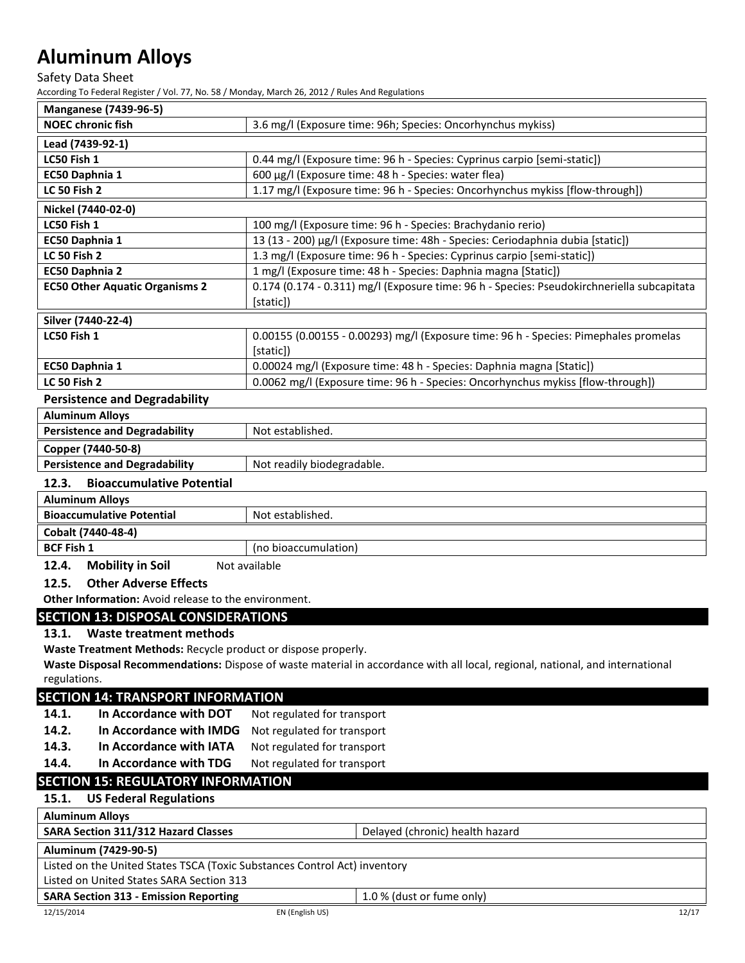Safety Data Sheet

According To Federal Register / Vol. 77, No. 58 / Monday, March 26, 2012 / Rules And Regulations

| According To Federal Register / Vol. 77, No. 58 / Monday, March 26, 2012 / Rules And Regulations |                                                                                                                               |  |
|--------------------------------------------------------------------------------------------------|-------------------------------------------------------------------------------------------------------------------------------|--|
| <b>Manganese (7439-96-5)</b>                                                                     |                                                                                                                               |  |
| <b>NOEC</b> chronic fish                                                                         | 3.6 mg/l (Exposure time: 96h; Species: Oncorhynchus mykiss)                                                                   |  |
| Lead (7439-92-1)                                                                                 |                                                                                                                               |  |
| LC50 Fish 1                                                                                      | 0.44 mg/l (Exposure time: 96 h - Species: Cyprinus carpio [semi-static])                                                      |  |
| EC50 Daphnia 1                                                                                   | 600 µg/l (Exposure time: 48 h - Species: water flea)                                                                          |  |
| <b>LC 50 Fish 2</b>                                                                              | 1.17 mg/l (Exposure time: 96 h - Species: Oncorhynchus mykiss [flow-through])                                                 |  |
| Nickel (7440-02-0)                                                                               |                                                                                                                               |  |
| LC50 Fish 1                                                                                      | 100 mg/l (Exposure time: 96 h - Species: Brachydanio rerio)                                                                   |  |
| EC50 Daphnia 1                                                                                   | 13 (13 - 200) μg/l (Exposure time: 48h - Species: Ceriodaphnia dubia [static])                                                |  |
| <b>LC 50 Fish 2</b>                                                                              | 1.3 mg/l (Exposure time: 96 h - Species: Cyprinus carpio [semi-static])                                                       |  |
| EC50 Daphnia 2                                                                                   | 1 mg/l (Exposure time: 48 h - Species: Daphnia magna [Static])                                                                |  |
| <b>EC50 Other Aquatic Organisms 2</b>                                                            | 0.174 (0.174 - 0.311) mg/l (Exposure time: 96 h - Species: Pseudokirchneriella subcapitata                                    |  |
|                                                                                                  | [static])                                                                                                                     |  |
| Silver (7440-22-4)                                                                               |                                                                                                                               |  |
| LC50 Fish 1                                                                                      | 0.00155 (0.00155 - 0.00293) mg/l (Exposure time: 96 h - Species: Pimephales promelas                                          |  |
|                                                                                                  | [static])                                                                                                                     |  |
| EC50 Daphnia 1                                                                                   | 0.00024 mg/l (Exposure time: 48 h - Species: Daphnia magna [Static])                                                          |  |
| LC 50 Fish 2<br>0.0062 mg/l (Exposure time: 96 h - Species: Oncorhynchus mykiss [flow-through])  |                                                                                                                               |  |
| <b>Persistence and Degradability</b>                                                             |                                                                                                                               |  |
| <b>Aluminum Alloys</b>                                                                           |                                                                                                                               |  |
| <b>Persistence and Degradability</b>                                                             | Not established.                                                                                                              |  |
| Copper (7440-50-8)                                                                               |                                                                                                                               |  |
| <b>Persistence and Degradability</b>                                                             | Not readily biodegradable.                                                                                                    |  |
| <b>Bioaccumulative Potential</b><br>12.3.                                                        |                                                                                                                               |  |
| <b>Aluminum Alloys</b>                                                                           |                                                                                                                               |  |
| <b>Bioaccumulative Potential</b>                                                                 | Not established.                                                                                                              |  |
| Cobalt (7440-48-4)                                                                               |                                                                                                                               |  |
| <b>BCF Fish 1</b><br>(no bioaccumulation)                                                        |                                                                                                                               |  |
| <b>Mobility in Soil</b><br>12.4.<br>Not available                                                |                                                                                                                               |  |
| <b>Other Adverse Effects</b><br>12.5.                                                            |                                                                                                                               |  |
| Other Information: Avoid release to the environment.                                             |                                                                                                                               |  |
| <b>SECTION 13: DISPOSAL CONSIDERATIONS</b>                                                       |                                                                                                                               |  |
| 13.1. Waste treatment methods                                                                    |                                                                                                                               |  |
| Waste Treatment Methods: Recycle product or dispose properly.                                    |                                                                                                                               |  |
|                                                                                                  | Waste Disposal Recommendations: Dispose of waste material in accordance with all local, regional, national, and international |  |
| regulations.                                                                                     |                                                                                                                               |  |
| <b>SECTION 14: TRANSPORT INFORMATION</b>                                                         |                                                                                                                               |  |
| In Accordance with DOT<br>14.1.                                                                  | Not regulated for transport                                                                                                   |  |
| 14.2.<br>In Accordance with IMDG                                                                 | Not regulated for transport                                                                                                   |  |
|                                                                                                  |                                                                                                                               |  |

**14.3. In Accordance with IATA** Not regulated for transport **14.4.** In Accordance with TDG Not regulated for transport

**In Accordance with TDG** Not regulated for transport

## **SECTION 15: REGULATORY INFORMATION**

## **15.1. US Federal Regulations**

|  | <b>Aluminum Alloys</b> |  |
|--|------------------------|--|
|--|------------------------|--|

| <b>SARA Section 311/312 Hazard Classes</b> | Delayed (chronic) health hazard |
|--------------------------------------------|---------------------------------|
|                                            |                                 |
| .                                          |                                 |

## **Aluminum (7429-90-5)**

Listed on the United States TSCA (Toxic Substances Control Act) inventory

Listed on United States SARA Section 313

**SARA Section 313 - Emission Reporting 1.0 % (dust or fume only)**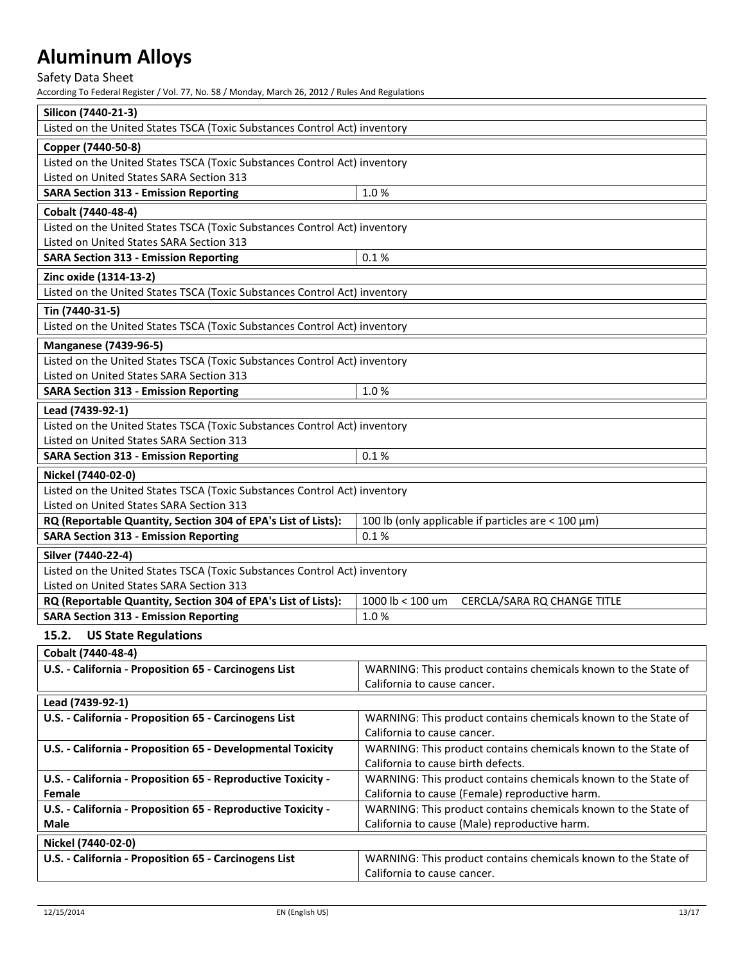Safety Data Sheet

| Silicon (7440-21-3)                                                       |                                                                |
|---------------------------------------------------------------------------|----------------------------------------------------------------|
| Listed on the United States TSCA (Toxic Substances Control Act) inventory |                                                                |
| Copper (7440-50-8)                                                        |                                                                |
| Listed on the United States TSCA (Toxic Substances Control Act) inventory |                                                                |
| Listed on United States SARA Section 313                                  |                                                                |
| <b>SARA Section 313 - Emission Reporting</b>                              | 1.0%                                                           |
| Cobalt (7440-48-4)                                                        |                                                                |
| Listed on the United States TSCA (Toxic Substances Control Act) inventory |                                                                |
| Listed on United States SARA Section 313                                  |                                                                |
| <b>SARA Section 313 - Emission Reporting</b>                              | 0.1%                                                           |
| Zinc oxide (1314-13-2)                                                    |                                                                |
| Listed on the United States TSCA (Toxic Substances Control Act) inventory |                                                                |
| Tin (7440-31-5)                                                           |                                                                |
| Listed on the United States TSCA (Toxic Substances Control Act) inventory |                                                                |
| <b>Manganese (7439-96-5)</b>                                              |                                                                |
| Listed on the United States TSCA (Toxic Substances Control Act) inventory |                                                                |
| Listed on United States SARA Section 313                                  |                                                                |
| <b>SARA Section 313 - Emission Reporting</b>                              | 1.0%                                                           |
| Lead (7439-92-1)                                                          |                                                                |
| Listed on the United States TSCA (Toxic Substances Control Act) inventory |                                                                |
| Listed on United States SARA Section 313                                  |                                                                |
| <b>SARA Section 313 - Emission Reporting</b>                              | 0.1%                                                           |
| Nickel (7440-02-0)                                                        |                                                                |
| Listed on the United States TSCA (Toxic Substances Control Act) inventory |                                                                |
| Listed on United States SARA Section 313                                  |                                                                |
| RQ (Reportable Quantity, Section 304 of EPA's List of Lists):             | 100 lb (only applicable if particles are $<$ 100 $\mu$ m)      |
| <b>SARA Section 313 - Emission Reporting</b>                              | 0.1%                                                           |
| Silver (7440-22-4)                                                        |                                                                |
| Listed on the United States TSCA (Toxic Substances Control Act) inventory |                                                                |
| Listed on United States SARA Section 313                                  |                                                                |
| RQ (Reportable Quantity, Section 304 of EPA's List of Lists):             | 1000 lb < 100 um<br>CERCLA/SARA RQ CHANGE TITLE                |
| <b>SARA Section 313 - Emission Reporting</b>                              | 1.0%                                                           |
| 15.2.<br><b>US State Regulations</b>                                      |                                                                |
| Cobalt (7440-48-4)                                                        |                                                                |
| U.S. - California - Proposition 65 - Carcinogens List                     | WARNING: This product contains chemicals known to the State of |
|                                                                           | California to cause cancer.                                    |
| Lead (7439-92-1)                                                          |                                                                |
| U.S. - California - Proposition 65 - Carcinogens List                     | WARNING: This product contains chemicals known to the State of |
|                                                                           | California to cause cancer.                                    |
| U.S. - California - Proposition 65 - Developmental Toxicity               | WARNING: This product contains chemicals known to the State of |
|                                                                           | California to cause birth defects.                             |
| U.S. - California - Proposition 65 - Reproductive Toxicity -              | WARNING: This product contains chemicals known to the State of |
| Female                                                                    | California to cause (Female) reproductive harm.                |
| U.S. - California - Proposition 65 - Reproductive Toxicity -              | WARNING: This product contains chemicals known to the State of |
| Male                                                                      | California to cause (Male) reproductive harm.                  |
| Nickel (7440-02-0)                                                        |                                                                |

| U.S. - California - Proposition 65 - Carcinogens List | <sup>1</sup> WARNING: This product contains chemicals known to the State of |
|-------------------------------------------------------|-----------------------------------------------------------------------------|
|                                                       | California to cause cancer.                                                 |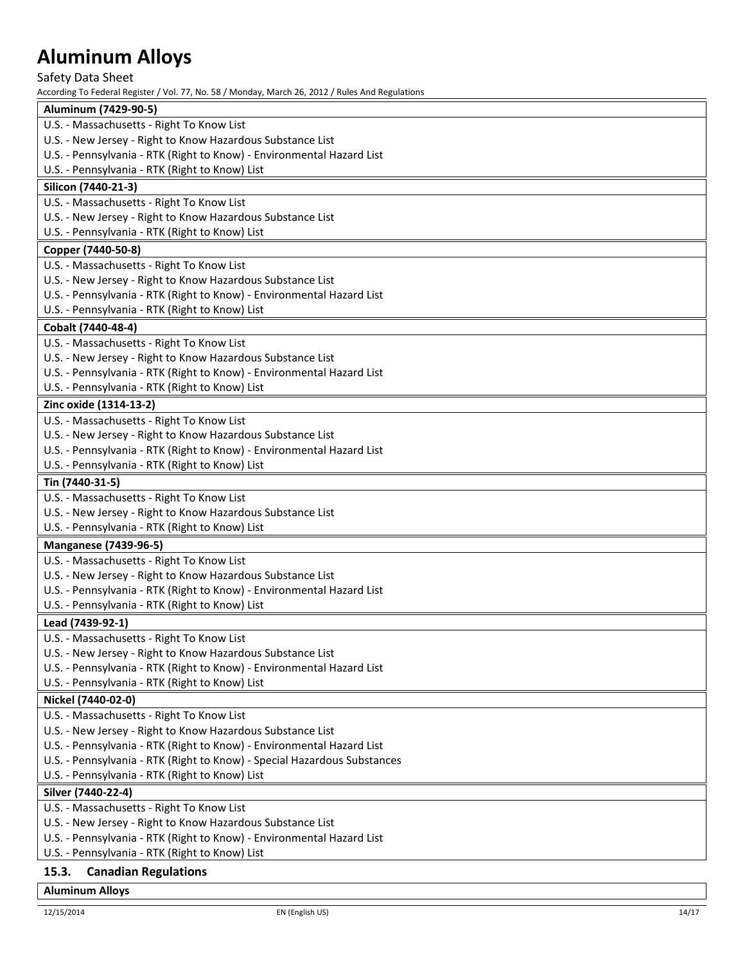Safety Data Sheet

According To Federal Register / Vol. 77, No. 58 / Monday, March 26, 2012 / Rules And Regulations

| Aluminum (7429-90-5)                                                     |
|--------------------------------------------------------------------------|
| U.S. - Massachusetts - Right To Know List                                |
| U.S. - New Jersey - Right to Know Hazardous Substance List               |
| U.S. - Pennsylvania - RTK (Right to Know) - Environmental Hazard List    |
| U.S. - Pennsylvania - RTK (Right to Know) List                           |
| Silicon (7440-21-3)                                                      |
| U.S. - Massachusetts - Right To Know List                                |
| U.S. - New Jersey - Right to Know Hazardous Substance List               |
| U.S. - Pennsylvania - RTK (Right to Know) List                           |
| Copper (7440-50-8)                                                       |
| U.S. - Massachusetts - Right To Know List                                |
| U.S. - New Jersey - Right to Know Hazardous Substance List               |
| U.S. - Pennsylvania - RTK (Right to Know) - Environmental Hazard List    |
| U.S. - Pennsylvania - RTK (Right to Know) List                           |
| Cobalt (7440-48-4)                                                       |
| U.S. - Massachusetts - Right To Know List                                |
| U.S. - New Jersey - Right to Know Hazardous Substance List               |
| U.S. - Pennsylvania - RTK (Right to Know) - Environmental Hazard List    |
| U.S. - Pennsylvania - RTK (Right to Know) List                           |
| Zinc oxide (1314-13-2)                                                   |
| U.S. - Massachusetts - Right To Know List                                |
| U.S. - New Jersey - Right to Know Hazardous Substance List               |
| U.S. - Pennsylvania - RTK (Right to Know) - Environmental Hazard List    |
| U.S. - Pennsylvania - RTK (Right to Know) List                           |
| Tin (7440-31-5)                                                          |
| U.S. - Massachusetts - Right To Know List                                |
| U.S. - New Jersey - Right to Know Hazardous Substance List               |
| U.S. - Pennsylvania - RTK (Right to Know) List                           |
| <b>Manganese (7439-96-5)</b>                                             |
| U.S. - Massachusetts - Right To Know List                                |
| U.S. - New Jersey - Right to Know Hazardous Substance List               |
| U.S. - Pennsylvania - RTK (Right to Know) - Environmental Hazard List    |
| U.S. - Pennsylvania - RTK (Right to Know) List                           |
| Lead (7439-92-1)                                                         |
| U.S. - Massachusetts - Right To Know List                                |
| U.S. - New Jersey - Right to Know Hazardous Substance List               |
| U.S. - Pennsylvania - RTK (Right to Know) - Environmental Hazard List    |
| U.S. - Pennsylvania - RTK (Right to Know) List                           |
| Nickel (7440-02-0)                                                       |
| U.S. - Massachusetts - Right To Know List                                |
| U.S. - New Jersey - Right to Know Hazardous Substance List               |
| U.S. - Pennsylvania - RTK (Right to Know) - Environmental Hazard List    |
| U.S. - Pennsylvania - RTK (Right to Know) - Special Hazardous Substances |
| U.S. - Pennsylvania - RTK (Right to Know) List                           |
|                                                                          |
| Silver (7440-22-4)                                                       |
| U.S. - Massachusetts - Right To Know List                                |
| U.S. - New Jersey - Right to Know Hazardous Substance List               |
| U.S. - Pennsylvania - RTK (Right to Know) - Environmental Hazard List    |
| U.S. - Pennsylvania - RTK (Right to Know) List                           |
| 15.3.<br><b>Canadian Regulations</b>                                     |

## **Aluminum Alloys**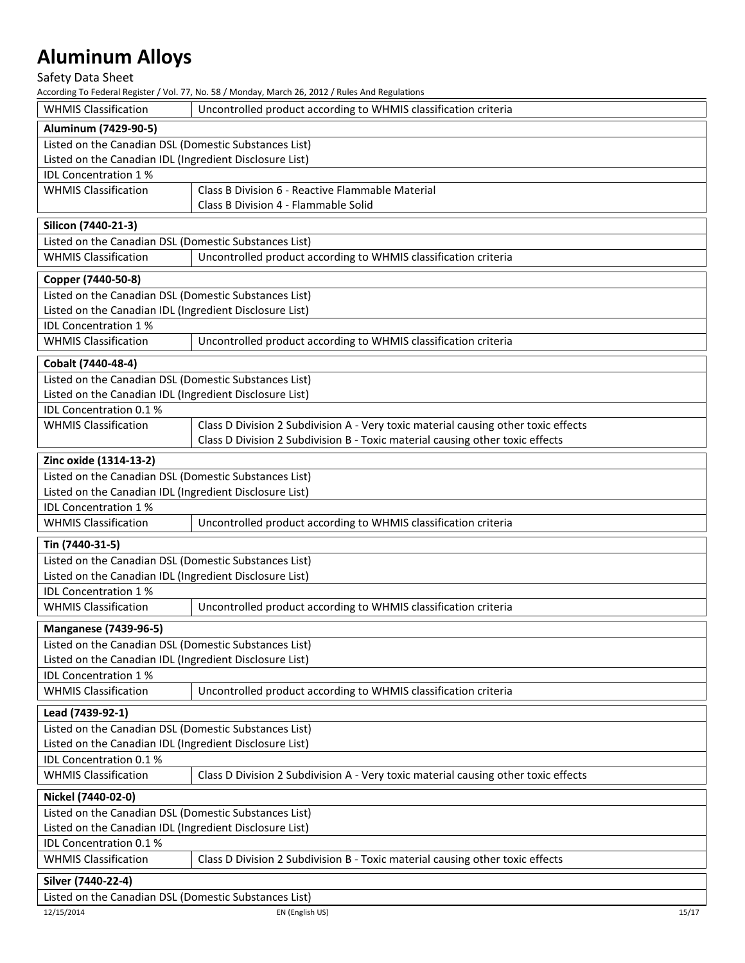## Safety Data Sheet

| <b>WHMIS Classification</b>                             | Uncontrolled product according to WHMIS classification criteria                    |
|---------------------------------------------------------|------------------------------------------------------------------------------------|
| Aluminum (7429-90-5)                                    |                                                                                    |
| Listed on the Canadian DSL (Domestic Substances List)   |                                                                                    |
| Listed on the Canadian IDL (Ingredient Disclosure List) |                                                                                    |
| IDL Concentration 1%                                    |                                                                                    |
| <b>WHMIS Classification</b>                             | Class B Division 6 - Reactive Flammable Material                                   |
|                                                         | Class B Division 4 - Flammable Solid                                               |
|                                                         |                                                                                    |
| Silicon (7440-21-3)                                     |                                                                                    |
| Listed on the Canadian DSL (Domestic Substances List)   |                                                                                    |
| <b>WHMIS Classification</b>                             | Uncontrolled product according to WHMIS classification criteria                    |
| Copper (7440-50-8)                                      |                                                                                    |
| Listed on the Canadian DSL (Domestic Substances List)   |                                                                                    |
| Listed on the Canadian IDL (Ingredient Disclosure List) |                                                                                    |
| <b>IDL Concentration 1%</b>                             |                                                                                    |
| <b>WHMIS Classification</b>                             | Uncontrolled product according to WHMIS classification criteria                    |
| Cobalt (7440-48-4)                                      |                                                                                    |
| Listed on the Canadian DSL (Domestic Substances List)   |                                                                                    |
| Listed on the Canadian IDL (Ingredient Disclosure List) |                                                                                    |
| IDL Concentration 0.1 %                                 |                                                                                    |
| <b>WHMIS Classification</b>                             | Class D Division 2 Subdivision A - Very toxic material causing other toxic effects |
|                                                         | Class D Division 2 Subdivision B - Toxic material causing other toxic effects      |
|                                                         |                                                                                    |
| Zinc oxide (1314-13-2)                                  |                                                                                    |
| Listed on the Canadian DSL (Domestic Substances List)   |                                                                                    |
| Listed on the Canadian IDL (Ingredient Disclosure List) |                                                                                    |
| <b>IDL Concentration 1%</b>                             |                                                                                    |
| <b>WHMIS Classification</b>                             | Uncontrolled product according to WHMIS classification criteria                    |
| Tin (7440-31-5)                                         |                                                                                    |
| Listed on the Canadian DSL (Domestic Substances List)   |                                                                                    |
| Listed on the Canadian IDL (Ingredient Disclosure List) |                                                                                    |
| <b>IDL Concentration 1%</b>                             |                                                                                    |
| <b>WHMIS Classification</b>                             | Uncontrolled product according to WHMIS classification criteria                    |
|                                                         |                                                                                    |
| <b>Manganese (7439-96-5)</b>                            |                                                                                    |
| Listed on the Canadian DSL (Domestic Substances List)   |                                                                                    |
| Listed on the Canadian IDL (Ingredient Disclosure List) |                                                                                    |
| <b>IDL Concentration 1%</b>                             |                                                                                    |
| <b>WHMIS Classification</b>                             | Uncontrolled product according to WHMIS classification criteria                    |
| Lead (7439-92-1)                                        |                                                                                    |
| Listed on the Canadian DSL (Domestic Substances List)   |                                                                                    |
| Listed on the Canadian IDL (Ingredient Disclosure List) |                                                                                    |
| IDL Concentration 0.1 %                                 |                                                                                    |
| <b>WHMIS Classification</b>                             | Class D Division 2 Subdivision A - Very toxic material causing other toxic effects |
|                                                         |                                                                                    |
| Nickel (7440-02-0)                                      |                                                                                    |
| Listed on the Canadian DSL (Domestic Substances List)   |                                                                                    |
| Listed on the Canadian IDL (Ingredient Disclosure List) |                                                                                    |
| IDL Concentration 0.1 %                                 |                                                                                    |
| <b>WHMIS Classification</b>                             | Class D Division 2 Subdivision B - Toxic material causing other toxic effects      |
| Silver (7440-22-4)                                      |                                                                                    |
| Listed on the Canadian DSL (Domestic Substances List)   |                                                                                    |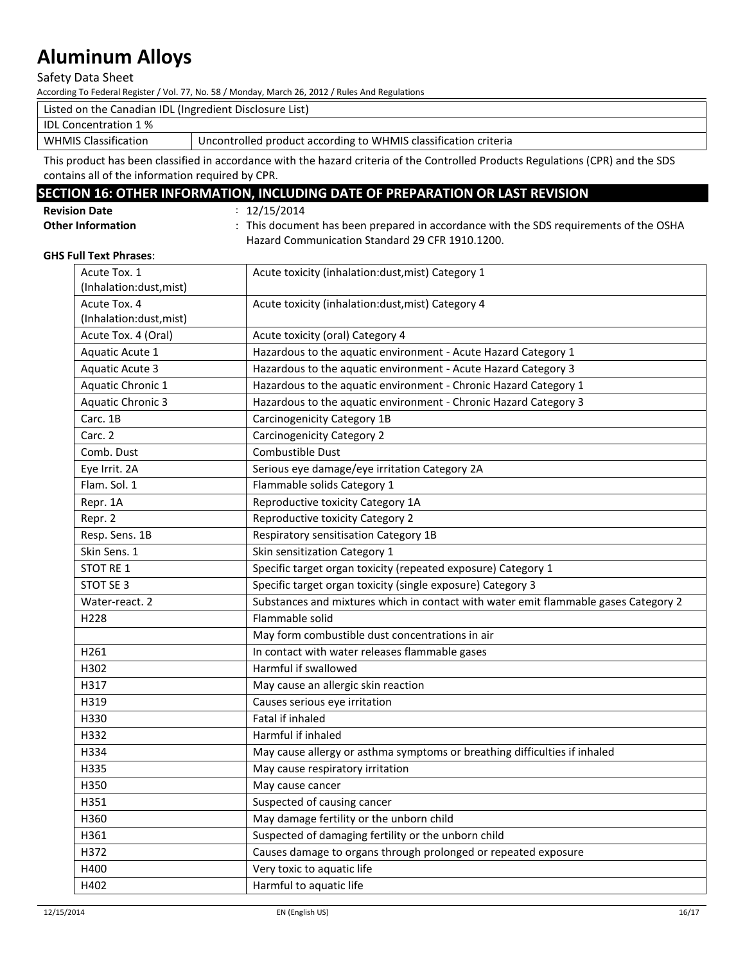Safety Data Sheet

According To Federal Register / Vol. 77, No. 58 / Monday, March 26, 2012 / Rules And Regulations

| Listed on the Canadian IDL (Ingredient Disclosure List) |                                                                 |
|---------------------------------------------------------|-----------------------------------------------------------------|
| IDL Concentration 1 %                                   |                                                                 |
| <b>WHMIS Classification</b>                             | Uncontrolled product according to WHMIS classification criteria |

This product has been classified in accordance with the hazard criteria of the Controlled Products Regulations (CPR) and the SDS contains all of the information required by CPR.

## **SECTION 16: OTHER INFORMATION, INCLUDING DATE OF PREPARATION OR LAST REVISION**

**Revision Date** : 12/15/2014

Other Information **cometable in the SUS repared in accordance with the SDS requirements of the OSHA** Hazard Communication Standard 29 CFR 1910.1200.

#### **GHS Full Text Phrases**:

| Acute Tox. 1<br>(Inhalation:dust, mist) | Acute toxicity (inhalation:dust, mist) Category 1                                   |
|-----------------------------------------|-------------------------------------------------------------------------------------|
| Acute Tox. 4<br>(Inhalation:dust, mist) | Acute toxicity (inhalation:dust, mist) Category 4                                   |
| Acute Tox. 4 (Oral)                     | Acute toxicity (oral) Category 4                                                    |
| Aquatic Acute 1                         | Hazardous to the aquatic environment - Acute Hazard Category 1                      |
| <b>Aquatic Acute 3</b>                  | Hazardous to the aquatic environment - Acute Hazard Category 3                      |
| Aquatic Chronic 1                       | Hazardous to the aquatic environment - Chronic Hazard Category 1                    |
| <b>Aquatic Chronic 3</b>                | Hazardous to the aquatic environment - Chronic Hazard Category 3                    |
| Carc. 1B                                | Carcinogenicity Category 1B                                                         |
| Carc. 2                                 | <b>Carcinogenicity Category 2</b>                                                   |
| Comb. Dust                              | Combustible Dust                                                                    |
| Eye Irrit. 2A                           | Serious eye damage/eye irritation Category 2A                                       |
| Flam. Sol. 1                            | Flammable solids Category 1                                                         |
| Repr. 1A                                | Reproductive toxicity Category 1A                                                   |
| Repr. 2                                 | Reproductive toxicity Category 2                                                    |
| Resp. Sens. 1B                          | Respiratory sensitisation Category 1B                                               |
| Skin Sens. 1                            | Skin sensitization Category 1                                                       |
| STOT RE 1                               | Specific target organ toxicity (repeated exposure) Category 1                       |
| STOT SE 3                               | Specific target organ toxicity (single exposure) Category 3                         |
| Water-react. 2                          | Substances and mixtures which in contact with water emit flammable gases Category 2 |
| H228                                    | Flammable solid                                                                     |
|                                         | May form combustible dust concentrations in air                                     |
| H261                                    | In contact with water releases flammable gases                                      |
| H302                                    | Harmful if swallowed                                                                |
| H317                                    | May cause an allergic skin reaction                                                 |
| H319                                    | Causes serious eye irritation                                                       |
| H330                                    | Fatal if inhaled                                                                    |
| H332                                    | Harmful if inhaled                                                                  |
| H334                                    | May cause allergy or asthma symptoms or breathing difficulties if inhaled           |
| H335                                    | May cause respiratory irritation                                                    |
| H350                                    | May cause cancer                                                                    |
| H351                                    | Suspected of causing cancer                                                         |
| H360                                    | May damage fertility or the unborn child                                            |
| H361                                    | Suspected of damaging fertility or the unborn child                                 |
| H372                                    | Causes damage to organs through prolonged or repeated exposure                      |
| H400                                    | Very toxic to aquatic life                                                          |
| H402                                    | Harmful to aquatic life                                                             |
|                                         |                                                                                     |